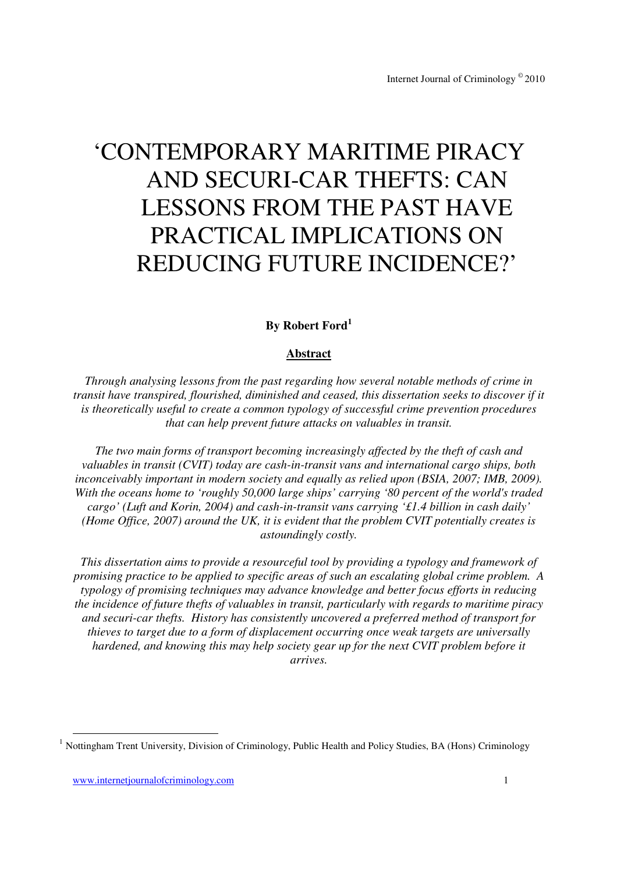# 'CONTEMPORARY MARITIME PIRACY AND SECURI-CAR THEFTS: CAN LESSONS FROM THE PAST HAVE PRACTICAL IMPLICATIONS ON REDUCING FUTURE INCIDENCE?'

## **By Robert Ford<sup>1</sup>**

## **Abstract**

*Through analysing lessons from the past regarding how several notable methods of crime in transit have transpired, flourished, diminished and ceased, this dissertation seeks to discover if it is theoretically useful to create a common typology of successful crime prevention procedures that can help prevent future attacks on valuables in transit.* 

*The two main forms of transport becoming increasingly affected by the theft of cash and valuables in transit (CVIT) today are cash-in-transit vans and international cargo ships, both*  inconceivably important in modern society and equally as relied upon (BSIA, 2007; IMB, 2009). *With the oceans home to 'roughly 50,000 large ships' carrying '80 percent of the world's traded cargo' (Luft and Korin, 2004) and cash-in-transit vans carrying '£1.4 billion in cash daily' (Home Office, 2007) around the UK, it is evident that the problem CVIT potentially creates is astoundingly costly.* 

*This dissertation aims to provide a resourceful tool by providing a typology and framework of promising practice to be applied to specific areas of such an escalating global crime problem. A typology of promising techniques may advance knowledge and better focus efforts in reducing the incidence of future thefts of valuables in transit, particularly with regards to maritime piracy and securi-car thefts. History has consistently uncovered a preferred method of transport for thieves to target due to a form of displacement occurring once weak targets are universally hardened, and knowing this may help society gear up for the next CVIT problem before it arrives.* 

-

<sup>&</sup>lt;sup>1</sup> Nottingham Trent University, Division of Criminology, Public Health and Policy Studies, BA (Hons) Criminology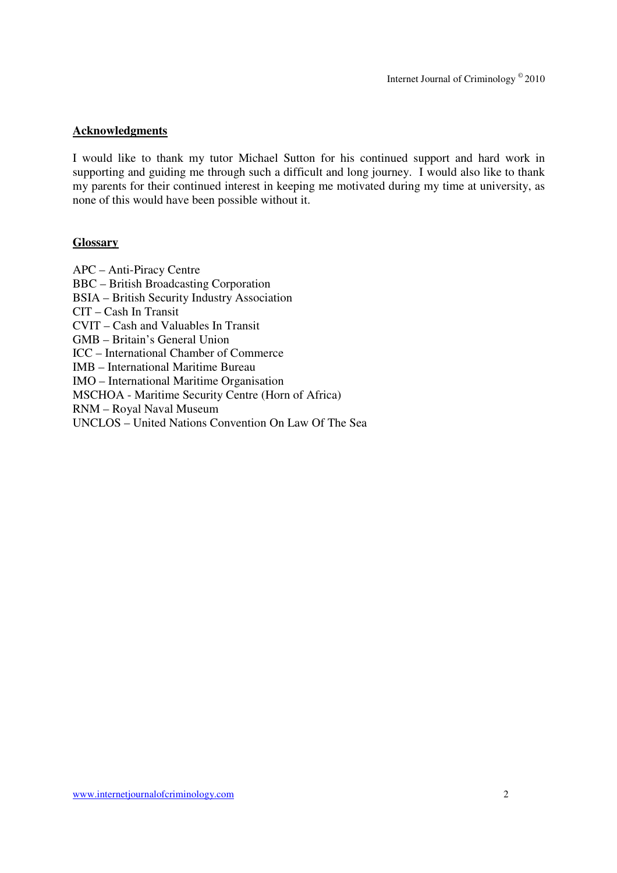#### **Acknowledgments**

I would like to thank my tutor Michael Sutton for his continued support and hard work in supporting and guiding me through such a difficult and long journey. I would also like to thank my parents for their continued interest in keeping me motivated during my time at university, as none of this would have been possible without it.

#### **Glossary**

APC – Anti-Piracy Centre BBC – British Broadcasting Corporation BSIA – British Security Industry Association CIT – Cash In Transit CVIT – Cash and Valuables In Transit GMB – Britain's General Union ICC – International Chamber of Commerce IMB – International Maritime Bureau IMO – International Maritime Organisation MSCHOA - Maritime Security Centre (Horn of Africa) RNM – Royal Naval Museum UNCLOS – United Nations Convention On Law Of The Sea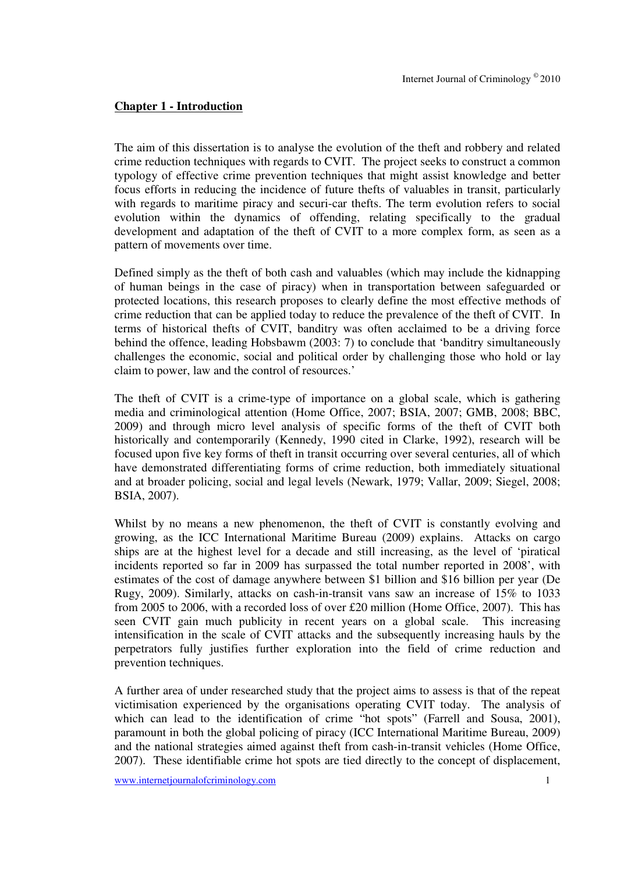#### **Chapter 1 - Introduction**

The aim of this dissertation is to analyse the evolution of the theft and robbery and related crime reduction techniques with regards to CVIT. The project seeks to construct a common typology of effective crime prevention techniques that might assist knowledge and better focus efforts in reducing the incidence of future thefts of valuables in transit, particularly with regards to maritime piracy and securi-car thefts. The term evolution refers to social evolution within the dynamics of offending, relating specifically to the gradual development and adaptation of the theft of CVIT to a more complex form, as seen as a pattern of movements over time.

Defined simply as the theft of both cash and valuables (which may include the kidnapping of human beings in the case of piracy) when in transportation between safeguarded or protected locations, this research proposes to clearly define the most effective methods of crime reduction that can be applied today to reduce the prevalence of the theft of CVIT. In terms of historical thefts of CVIT, banditry was often acclaimed to be a driving force behind the offence, leading Hobsbawm (2003: 7) to conclude that 'banditry simultaneously challenges the economic, social and political order by challenging those who hold or lay claim to power, law and the control of resources.'

The theft of CVIT is a crime-type of importance on a global scale, which is gathering media and criminological attention (Home Office, 2007; BSIA, 2007; GMB, 2008; BBC, 2009) and through micro level analysis of specific forms of the theft of CVIT both historically and contemporarily (Kennedy, 1990 cited in Clarke, 1992), research will be focused upon five key forms of theft in transit occurring over several centuries, all of which have demonstrated differentiating forms of crime reduction, both immediately situational and at broader policing, social and legal levels (Newark, 1979; Vallar, 2009; Siegel, 2008; BSIA, 2007).

Whilst by no means a new phenomenon, the theft of CVIT is constantly evolving and growing, as the ICC International Maritime Bureau (2009) explains. Attacks on cargo ships are at the highest level for a decade and still increasing, as the level of 'piratical incidents reported so far in 2009 has surpassed the total number reported in 2008', with estimates of the cost of damage anywhere between \$1 billion and \$16 billion per year (De Rugy, 2009). Similarly, attacks on cash-in-transit vans saw an increase of 15% to 1033 from 2005 to 2006, with a recorded loss of over £20 million (Home Office, 2007). This has seen CVIT gain much publicity in recent years on a global scale. This increasing intensification in the scale of CVIT attacks and the subsequently increasing hauls by the perpetrators fully justifies further exploration into the field of crime reduction and prevention techniques.

A further area of under researched study that the project aims to assess is that of the repeat victimisation experienced by the organisations operating CVIT today. The analysis of which can lead to the identification of crime "hot spots" (Farrell and Sousa, 2001), paramount in both the global policing of piracy (ICC International Maritime Bureau, 2009) and the national strategies aimed against theft from cash-in-transit vehicles (Home Office, 2007). These identifiable crime hot spots are tied directly to the concept of displacement,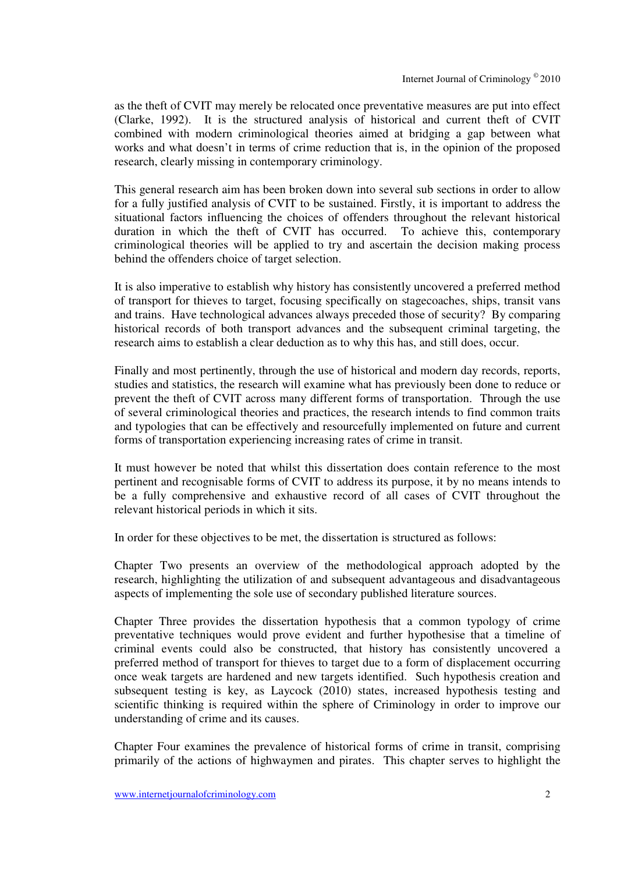as the theft of CVIT may merely be relocated once preventative measures are put into effect (Clarke, 1992). It is the structured analysis of historical and current theft of CVIT combined with modern criminological theories aimed at bridging a gap between what works and what doesn't in terms of crime reduction that is, in the opinion of the proposed research, clearly missing in contemporary criminology.

This general research aim has been broken down into several sub sections in order to allow for a fully justified analysis of CVIT to be sustained. Firstly, it is important to address the situational factors influencing the choices of offenders throughout the relevant historical duration in which the theft of CVIT has occurred. To achieve this, contemporary criminological theories will be applied to try and ascertain the decision making process behind the offenders choice of target selection.

It is also imperative to establish why history has consistently uncovered a preferred method of transport for thieves to target, focusing specifically on stagecoaches, ships, transit vans and trains. Have technological advances always preceded those of security? By comparing historical records of both transport advances and the subsequent criminal targeting, the research aims to establish a clear deduction as to why this has, and still does, occur.

Finally and most pertinently, through the use of historical and modern day records, reports, studies and statistics, the research will examine what has previously been done to reduce or prevent the theft of CVIT across many different forms of transportation. Through the use of several criminological theories and practices, the research intends to find common traits and typologies that can be effectively and resourcefully implemented on future and current forms of transportation experiencing increasing rates of crime in transit.

It must however be noted that whilst this dissertation does contain reference to the most pertinent and recognisable forms of CVIT to address its purpose, it by no means intends to be a fully comprehensive and exhaustive record of all cases of CVIT throughout the relevant historical periods in which it sits.

In order for these objectives to be met, the dissertation is structured as follows:

Chapter Two presents an overview of the methodological approach adopted by the research, highlighting the utilization of and subsequent advantageous and disadvantageous aspects of implementing the sole use of secondary published literature sources.

Chapter Three provides the dissertation hypothesis that a common typology of crime preventative techniques would prove evident and further hypothesise that a timeline of criminal events could also be constructed, that history has consistently uncovered a preferred method of transport for thieves to target due to a form of displacement occurring once weak targets are hardened and new targets identified. Such hypothesis creation and subsequent testing is key, as Laycock (2010) states, increased hypothesis testing and scientific thinking is required within the sphere of Criminology in order to improve our understanding of crime and its causes.

Chapter Four examines the prevalence of historical forms of crime in transit, comprising primarily of the actions of highwaymen and pirates. This chapter serves to highlight the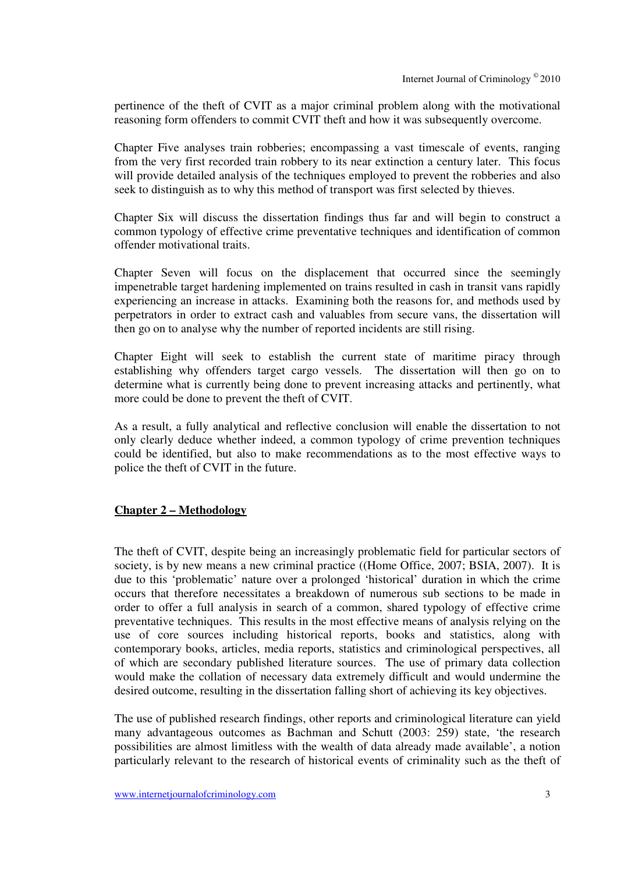pertinence of the theft of CVIT as a major criminal problem along with the motivational reasoning form offenders to commit CVIT theft and how it was subsequently overcome.

Chapter Five analyses train robberies; encompassing a vast timescale of events, ranging from the very first recorded train robbery to its near extinction a century later. This focus will provide detailed analysis of the techniques employed to prevent the robberies and also seek to distinguish as to why this method of transport was first selected by thieves.

Chapter Six will discuss the dissertation findings thus far and will begin to construct a common typology of effective crime preventative techniques and identification of common offender motivational traits.

Chapter Seven will focus on the displacement that occurred since the seemingly impenetrable target hardening implemented on trains resulted in cash in transit vans rapidly experiencing an increase in attacks. Examining both the reasons for, and methods used by perpetrators in order to extract cash and valuables from secure vans, the dissertation will then go on to analyse why the number of reported incidents are still rising.

Chapter Eight will seek to establish the current state of maritime piracy through establishing why offenders target cargo vessels. The dissertation will then go on to determine what is currently being done to prevent increasing attacks and pertinently, what more could be done to prevent the theft of CVIT.

As a result, a fully analytical and reflective conclusion will enable the dissertation to not only clearly deduce whether indeed, a common typology of crime prevention techniques could be identified, but also to make recommendations as to the most effective ways to police the theft of CVIT in the future.

#### **Chapter 2 – Methodology**

The theft of CVIT, despite being an increasingly problematic field for particular sectors of society, is by new means a new criminal practice ((Home Office, 2007; BSIA, 2007). It is due to this 'problematic' nature over a prolonged 'historical' duration in which the crime occurs that therefore necessitates a breakdown of numerous sub sections to be made in order to offer a full analysis in search of a common, shared typology of effective crime preventative techniques. This results in the most effective means of analysis relying on the use of core sources including historical reports, books and statistics, along with contemporary books, articles, media reports, statistics and criminological perspectives, all of which are secondary published literature sources. The use of primary data collection would make the collation of necessary data extremely difficult and would undermine the desired outcome, resulting in the dissertation falling short of achieving its key objectives.

The use of published research findings, other reports and criminological literature can yield many advantageous outcomes as Bachman and Schutt (2003: 259) state, 'the research possibilities are almost limitless with the wealth of data already made available', a notion particularly relevant to the research of historical events of criminality such as the theft of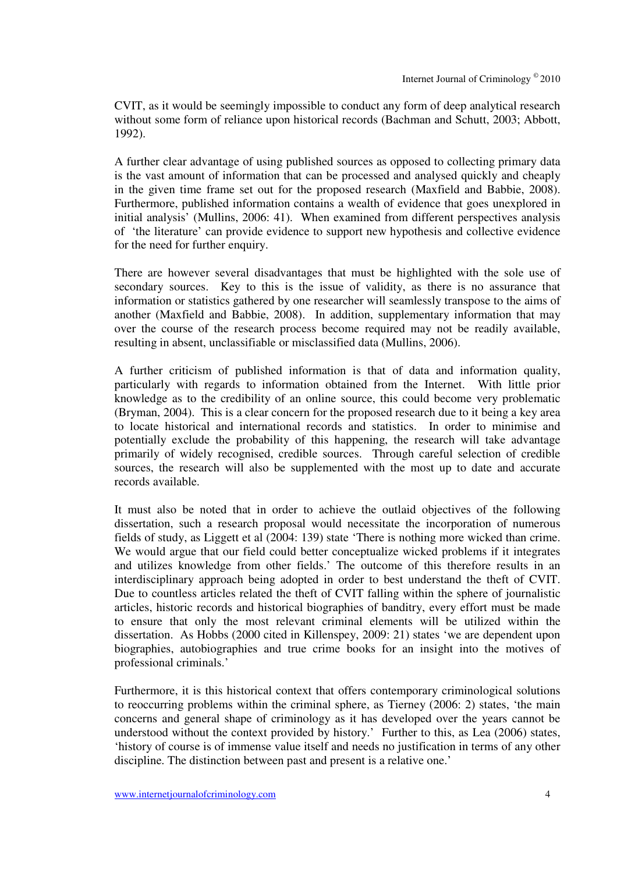CVIT, as it would be seemingly impossible to conduct any form of deep analytical research without some form of reliance upon historical records (Bachman and Schutt, 2003; Abbott, 1992).

A further clear advantage of using published sources as opposed to collecting primary data is the vast amount of information that can be processed and analysed quickly and cheaply in the given time frame set out for the proposed research (Maxfield and Babbie, 2008). Furthermore, published information contains a wealth of evidence that goes unexplored in initial analysis' (Mullins, 2006: 41). When examined from different perspectives analysis of 'the literature' can provide evidence to support new hypothesis and collective evidence for the need for further enquiry.

There are however several disadvantages that must be highlighted with the sole use of secondary sources. Key to this is the issue of validity, as there is no assurance that information or statistics gathered by one researcher will seamlessly transpose to the aims of another (Maxfield and Babbie, 2008). In addition, supplementary information that may over the course of the research process become required may not be readily available, resulting in absent, unclassifiable or misclassified data (Mullins, 2006).

A further criticism of published information is that of data and information quality, particularly with regards to information obtained from the Internet. With little prior knowledge as to the credibility of an online source, this could become very problematic (Bryman, 2004). This is a clear concern for the proposed research due to it being a key area to locate historical and international records and statistics. In order to minimise and potentially exclude the probability of this happening, the research will take advantage primarily of widely recognised, credible sources. Through careful selection of credible sources, the research will also be supplemented with the most up to date and accurate records available.

It must also be noted that in order to achieve the outlaid objectives of the following dissertation, such a research proposal would necessitate the incorporation of numerous fields of study, as Liggett et al (2004: 139) state 'There is nothing more wicked than crime. We would argue that our field could better conceptualize wicked problems if it integrates and utilizes knowledge from other fields.' The outcome of this therefore results in an interdisciplinary approach being adopted in order to best understand the theft of CVIT. Due to countless articles related the theft of CVIT falling within the sphere of journalistic articles, historic records and historical biographies of banditry, every effort must be made to ensure that only the most relevant criminal elements will be utilized within the dissertation. As Hobbs (2000 cited in Killenspey, 2009: 21) states 'we are dependent upon biographies, autobiographies and true crime books for an insight into the motives of professional criminals.'

Furthermore, it is this historical context that offers contemporary criminological solutions to reoccurring problems within the criminal sphere, as Tierney (2006: 2) states, 'the main concerns and general shape of criminology as it has developed over the years cannot be understood without the context provided by history.' Further to this, as Lea (2006) states, 'history of course is of immense value itself and needs no justification in terms of any other discipline. The distinction between past and present is a relative one.'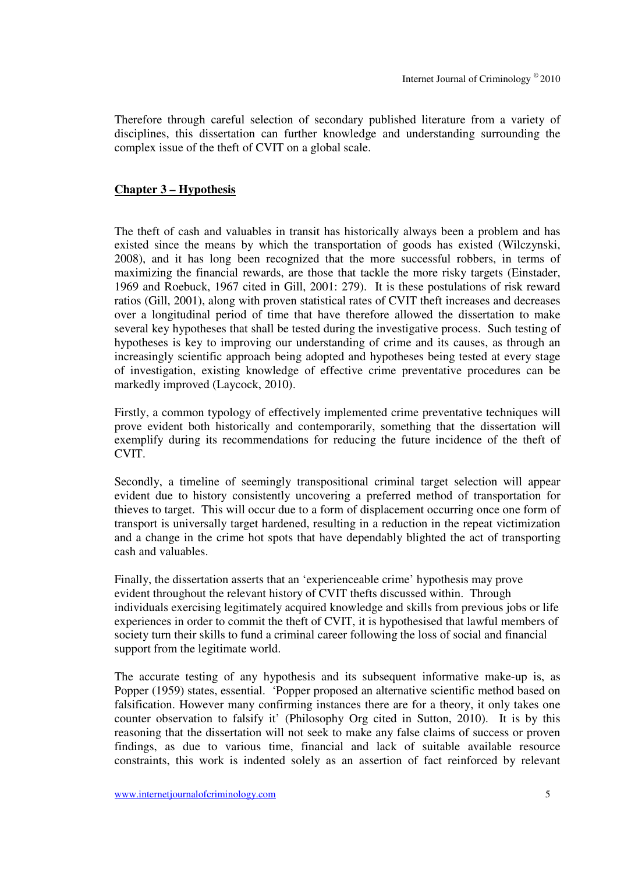Therefore through careful selection of secondary published literature from a variety of disciplines, this dissertation can further knowledge and understanding surrounding the complex issue of the theft of CVIT on a global scale.

#### **Chapter 3 – Hypothesis**

The theft of cash and valuables in transit has historically always been a problem and has existed since the means by which the transportation of goods has existed (Wilczynski, 2008), and it has long been recognized that the more successful robbers, in terms of maximizing the financial rewards, are those that tackle the more risky targets (Einstader, 1969 and Roebuck, 1967 cited in Gill, 2001: 279). It is these postulations of risk reward ratios (Gill, 2001), along with proven statistical rates of CVIT theft increases and decreases over a longitudinal period of time that have therefore allowed the dissertation to make several key hypotheses that shall be tested during the investigative process. Such testing of hypotheses is key to improving our understanding of crime and its causes, as through an increasingly scientific approach being adopted and hypotheses being tested at every stage of investigation, existing knowledge of effective crime preventative procedures can be markedly improved (Laycock, 2010).

Firstly, a common typology of effectively implemented crime preventative techniques will prove evident both historically and contemporarily, something that the dissertation will exemplify during its recommendations for reducing the future incidence of the theft of CVIT.

Secondly, a timeline of seemingly transpositional criminal target selection will appear evident due to history consistently uncovering a preferred method of transportation for thieves to target. This will occur due to a form of displacement occurring once one form of transport is universally target hardened, resulting in a reduction in the repeat victimization and a change in the crime hot spots that have dependably blighted the act of transporting cash and valuables.

Finally, the dissertation asserts that an 'experienceable crime' hypothesis may prove evident throughout the relevant history of CVIT thefts discussed within. Through individuals exercising legitimately acquired knowledge and skills from previous jobs or life experiences in order to commit the theft of CVIT, it is hypothesised that lawful members of society turn their skills to fund a criminal career following the loss of social and financial support from the legitimate world.

The accurate testing of any hypothesis and its subsequent informative make-up is, as Popper (1959) states, essential. 'Popper proposed an alternative scientific method based on falsification. However many confirming instances there are for a theory, it only takes one counter observation to falsify it' (Philosophy Org cited in Sutton, 2010). It is by this reasoning that the dissertation will not seek to make any false claims of success or proven findings, as due to various time, financial and lack of suitable available resource constraints, this work is indented solely as an assertion of fact reinforced by relevant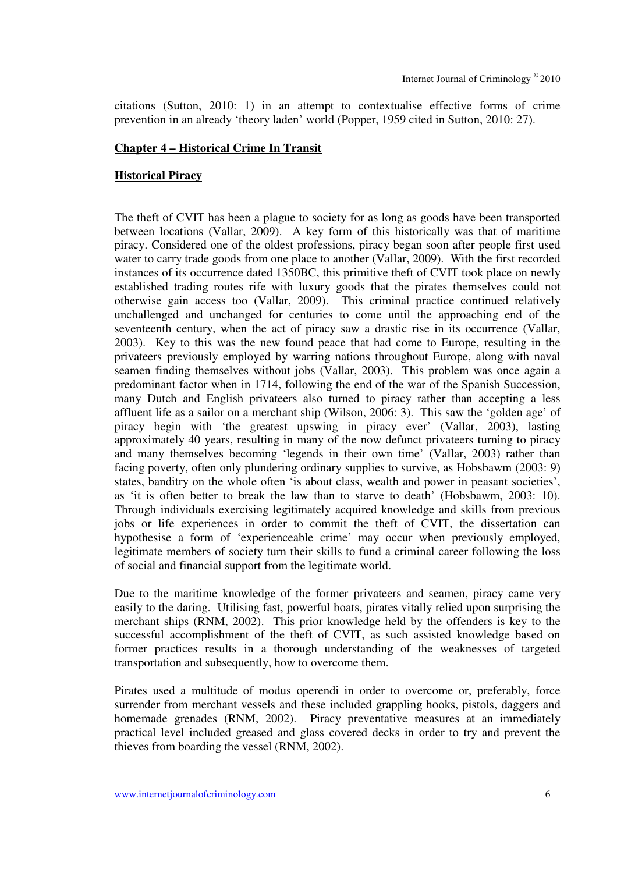citations (Sutton, 2010: 1) in an attempt to contextualise effective forms of crime prevention in an already 'theory laden' world (Popper, 1959 cited in Sutton, 2010: 27).

#### **Chapter 4 – Historical Crime In Transit**

#### **Historical Piracy**

The theft of CVIT has been a plague to society for as long as goods have been transported between locations (Vallar, 2009). A key form of this historically was that of maritime piracy. Considered one of the oldest professions, piracy began soon after people first used water to carry trade goods from one place to another (Vallar, 2009). With the first recorded instances of its occurrence dated 1350BC, this primitive theft of CVIT took place on newly established trading routes rife with luxury goods that the pirates themselves could not otherwise gain access too (Vallar, 2009). This criminal practice continued relatively unchallenged and unchanged for centuries to come until the approaching end of the seventeenth century, when the act of piracy saw a drastic rise in its occurrence (Vallar, 2003). Key to this was the new found peace that had come to Europe, resulting in the privateers previously employed by warring nations throughout Europe, along with naval seamen finding themselves without jobs (Vallar, 2003). This problem was once again a predominant factor when in 1714, following the end of the war of the Spanish Succession, many Dutch and English privateers also turned to piracy rather than accepting a less affluent life as a sailor on a merchant ship (Wilson, 2006: 3). This saw the 'golden age' of piracy begin with 'the greatest upswing in piracy ever' (Vallar, 2003), lasting approximately 40 years, resulting in many of the now defunct privateers turning to piracy and many themselves becoming 'legends in their own time' (Vallar, 2003) rather than facing poverty, often only plundering ordinary supplies to survive, as Hobsbawm (2003: 9) states, banditry on the whole often 'is about class, wealth and power in peasant societies', as 'it is often better to break the law than to starve to death' (Hobsbawm, 2003: 10). Through individuals exercising legitimately acquired knowledge and skills from previous jobs or life experiences in order to commit the theft of CVIT, the dissertation can hypothesise a form of 'experienceable crime' may occur when previously employed, legitimate members of society turn their skills to fund a criminal career following the loss of social and financial support from the legitimate world.

Due to the maritime knowledge of the former privateers and seamen, piracy came very easily to the daring. Utilising fast, powerful boats, pirates vitally relied upon surprising the merchant ships (RNM, 2002). This prior knowledge held by the offenders is key to the successful accomplishment of the theft of CVIT, as such assisted knowledge based on former practices results in a thorough understanding of the weaknesses of targeted transportation and subsequently, how to overcome them.

Pirates used a multitude of modus operendi in order to overcome or, preferably, force surrender from merchant vessels and these included grappling hooks, pistols, daggers and homemade grenades (RNM, 2002). Piracy preventative measures at an immediately practical level included greased and glass covered decks in order to try and prevent the thieves from boarding the vessel (RNM, 2002).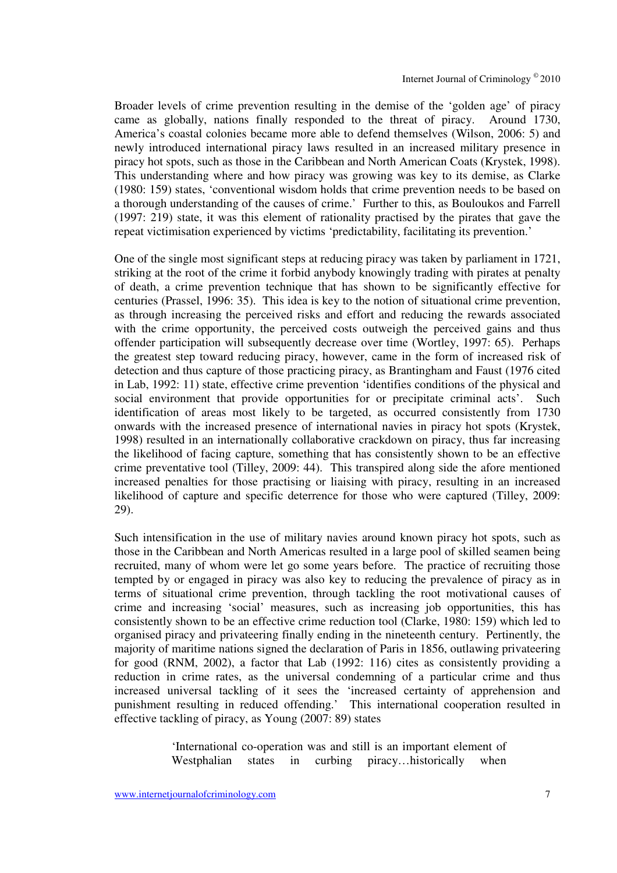Broader levels of crime prevention resulting in the demise of the 'golden age' of piracy came as globally, nations finally responded to the threat of piracy. Around 1730, America's coastal colonies became more able to defend themselves (Wilson, 2006: 5) and newly introduced international piracy laws resulted in an increased military presence in piracy hot spots, such as those in the Caribbean and North American Coats (Krystek, 1998). This understanding where and how piracy was growing was key to its demise, as Clarke (1980: 159) states, 'conventional wisdom holds that crime prevention needs to be based on a thorough understanding of the causes of crime.' Further to this, as Bouloukos and Farrell (1997: 219) state, it was this element of rationality practised by the pirates that gave the repeat victimisation experienced by victims 'predictability, facilitating its prevention.'

One of the single most significant steps at reducing piracy was taken by parliament in 1721, striking at the root of the crime it forbid anybody knowingly trading with pirates at penalty of death, a crime prevention technique that has shown to be significantly effective for centuries (Prassel, 1996: 35). This idea is key to the notion of situational crime prevention, as through increasing the perceived risks and effort and reducing the rewards associated with the crime opportunity, the perceived costs outweigh the perceived gains and thus offender participation will subsequently decrease over time (Wortley, 1997: 65). Perhaps the greatest step toward reducing piracy, however, came in the form of increased risk of detection and thus capture of those practicing piracy, as Brantingham and Faust (1976 cited in Lab, 1992: 11) state, effective crime prevention 'identifies conditions of the physical and social environment that provide opportunities for or precipitate criminal acts'. Such identification of areas most likely to be targeted, as occurred consistently from 1730 onwards with the increased presence of international navies in piracy hot spots (Krystek, 1998) resulted in an internationally collaborative crackdown on piracy, thus far increasing the likelihood of facing capture, something that has consistently shown to be an effective crime preventative tool (Tilley, 2009: 44). This transpired along side the afore mentioned increased penalties for those practising or liaising with piracy, resulting in an increased likelihood of capture and specific deterrence for those who were captured (Tilley, 2009: 29).

Such intensification in the use of military navies around known piracy hot spots, such as those in the Caribbean and North Americas resulted in a large pool of skilled seamen being recruited, many of whom were let go some years before. The practice of recruiting those tempted by or engaged in piracy was also key to reducing the prevalence of piracy as in terms of situational crime prevention, through tackling the root motivational causes of crime and increasing 'social' measures, such as increasing job opportunities, this has consistently shown to be an effective crime reduction tool (Clarke, 1980: 159) which led to organised piracy and privateering finally ending in the nineteenth century. Pertinently, the majority of maritime nations signed the declaration of Paris in 1856, outlawing privateering for good (RNM, 2002), a factor that Lab (1992: 116) cites as consistently providing a reduction in crime rates, as the universal condemning of a particular crime and thus increased universal tackling of it sees the 'increased certainty of apprehension and punishment resulting in reduced offending.' This international cooperation resulted in effective tackling of piracy, as Young (2007: 89) states

> 'International co-operation was and still is an important element of Westphalian states in curbing piracy...historically when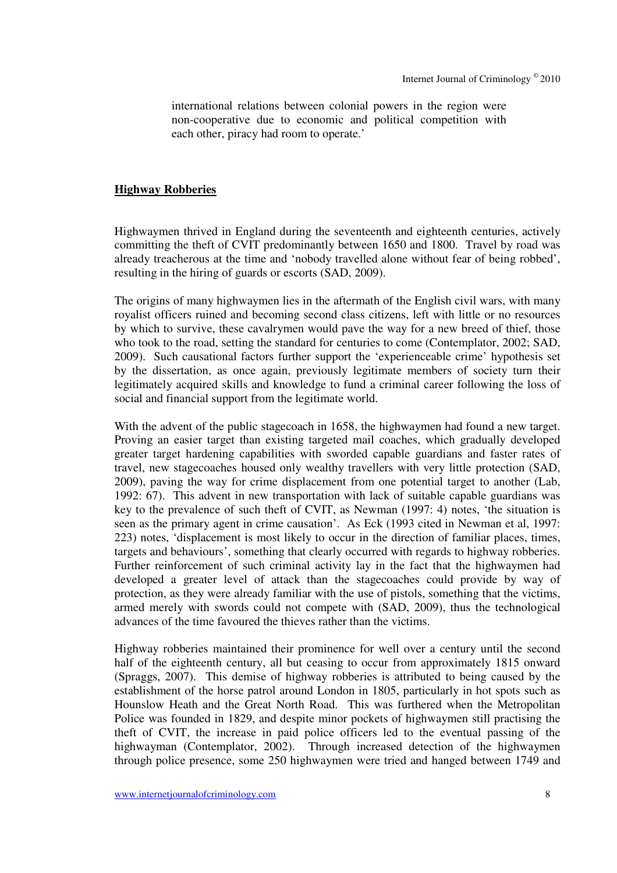international relations between colonial powers in the region were non-cooperative due to economic and political competition with each other, piracy had room to operate.'

#### **Highway Robberies**

Highwaymen thrived in England during the seventeenth and eighteenth centuries, actively committing the theft of CVIT predominantly between 1650 and 1800. Travel by road was already treacherous at the time and 'nobody travelled alone without fear of being robbed', resulting in the hiring of guards or escorts (SAD, 2009).

The origins of many highwaymen lies in the aftermath of the English civil wars, with many royalist officers ruined and becoming second class citizens, left with little or no resources by which to survive, these cavalrymen would pave the way for a new breed of thief, those who took to the road, setting the standard for centuries to come (Contemplator, 2002; SAD, 2009). Such causational factors further support the 'experienceable crime' hypothesis set by the dissertation, as once again, previously legitimate members of society turn their legitimately acquired skills and knowledge to fund a criminal career following the loss of social and financial support from the legitimate world.

With the advent of the public stage coach in 1658, the highwaymen had found a new target. Proving an easier target than existing targeted mail coaches, which gradually developed greater target hardening capabilities with sworded capable guardians and faster rates of travel, new stagecoaches housed only wealthy travellers with very little protection (SAD, 2009), paving the way for crime displacement from one potential target to another (Lab, 1992: 67). This advent in new transportation with lack of suitable capable guardians was key to the prevalence of such theft of CVIT, as Newman (1997: 4) notes, 'the situation is seen as the primary agent in crime causation'. As Eck (1993 cited in Newman et al, 1997: 223) notes, 'displacement is most likely to occur in the direction of familiar places, times, targets and behaviours', something that clearly occurred with regards to highway robberies. Further reinforcement of such criminal activity lay in the fact that the highwaymen had developed a greater level of attack than the stagecoaches could provide by way of protection, as they were already familiar with the use of pistols, something that the victims, armed merely with swords could not compete with (SAD, 2009), thus the technological advances of the time favoured the thieves rather than the victims.

Highway robberies maintained their prominence for well over a century until the second half of the eighteenth century, all but ceasing to occur from approximately 1815 onward (Spraggs, 2007). This demise of highway robberies is attributed to being caused by the establishment of the horse patrol around London in 1805, particularly in hot spots such as Hounslow Heath and the Great North Road. This was furthered when the Metropolitan Police was founded in 1829, and despite minor pockets of highwaymen still practising the theft of CVIT, the increase in paid police officers led to the eventual passing of the highwayman (Contemplator, 2002). Through increased detection of the highwaymen through police presence, some 250 highwaymen were tried and hanged between 1749 and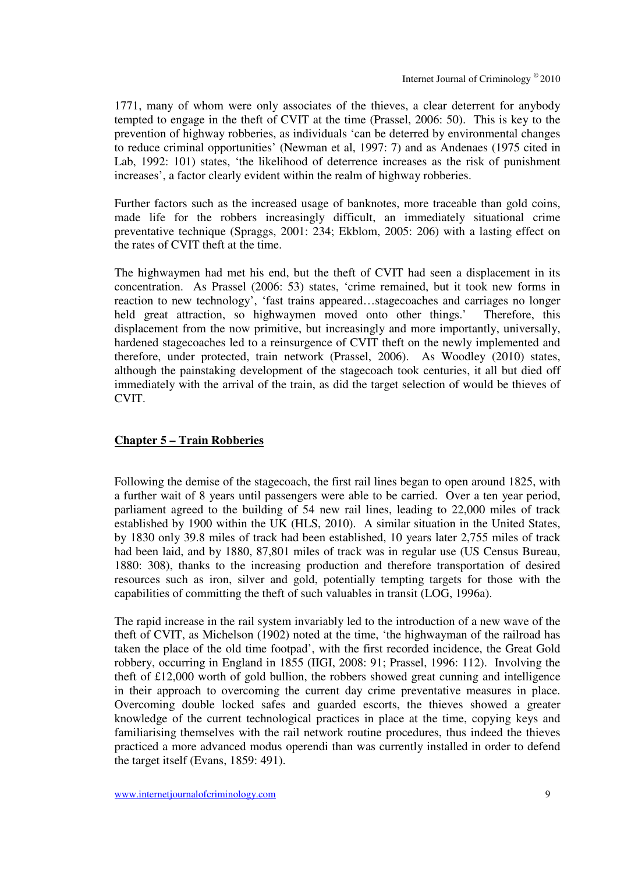1771, many of whom were only associates of the thieves, a clear deterrent for anybody tempted to engage in the theft of CVIT at the time (Prassel, 2006: 50). This is key to the prevention of highway robberies, as individuals 'can be deterred by environmental changes to reduce criminal opportunities' (Newman et al, 1997: 7) and as Andenaes (1975 cited in Lab, 1992: 101) states, 'the likelihood of deterrence increases as the risk of punishment increases', a factor clearly evident within the realm of highway robberies.

Further factors such as the increased usage of banknotes, more traceable than gold coins, made life for the robbers increasingly difficult, an immediately situational crime preventative technique (Spraggs, 2001: 234; Ekblom, 2005: 206) with a lasting effect on the rates of CVIT theft at the time.

The highwaymen had met his end, but the theft of CVIT had seen a displacement in its concentration. As Prassel (2006: 53) states, 'crime remained, but it took new forms in reaction to new technology', 'fast trains appeared…stagecoaches and carriages no longer held great attraction, so highwaymen moved onto other things.' Therefore, this displacement from the now primitive, but increasingly and more importantly, universally, hardened stagecoaches led to a reinsurgence of CVIT theft on the newly implemented and therefore, under protected, train network (Prassel, 2006). As Woodley (2010) states, although the painstaking development of the stagecoach took centuries, it all but died off immediately with the arrival of the train, as did the target selection of would be thieves of CVIT.

## **Chapter 5 – Train Robberies**

Following the demise of the stagecoach, the first rail lines began to open around 1825, with a further wait of 8 years until passengers were able to be carried. Over a ten year period, parliament agreed to the building of 54 new rail lines, leading to 22,000 miles of track established by 1900 within the UK (HLS, 2010). A similar situation in the United States, by 1830 only 39.8 miles of track had been established, 10 years later 2,755 miles of track had been laid, and by 1880, 87,801 miles of track was in regular use (US Census Bureau, 1880: 308), thanks to the increasing production and therefore transportation of desired resources such as iron, silver and gold, potentially tempting targets for those with the capabilities of committing the theft of such valuables in transit (LOG, 1996a).

The rapid increase in the rail system invariably led to the introduction of a new wave of the theft of CVIT, as Michelson (1902) noted at the time, 'the highwayman of the railroad has taken the place of the old time footpad', with the first recorded incidence, the Great Gold robbery, occurring in England in 1855 (IIGI, 2008: 91; Prassel, 1996: 112). Involving the theft of £12,000 worth of gold bullion, the robbers showed great cunning and intelligence in their approach to overcoming the current day crime preventative measures in place. Overcoming double locked safes and guarded escorts, the thieves showed a greater knowledge of the current technological practices in place at the time, copying keys and familiarising themselves with the rail network routine procedures, thus indeed the thieves practiced a more advanced modus operendi than was currently installed in order to defend the target itself (Evans, 1859: 491).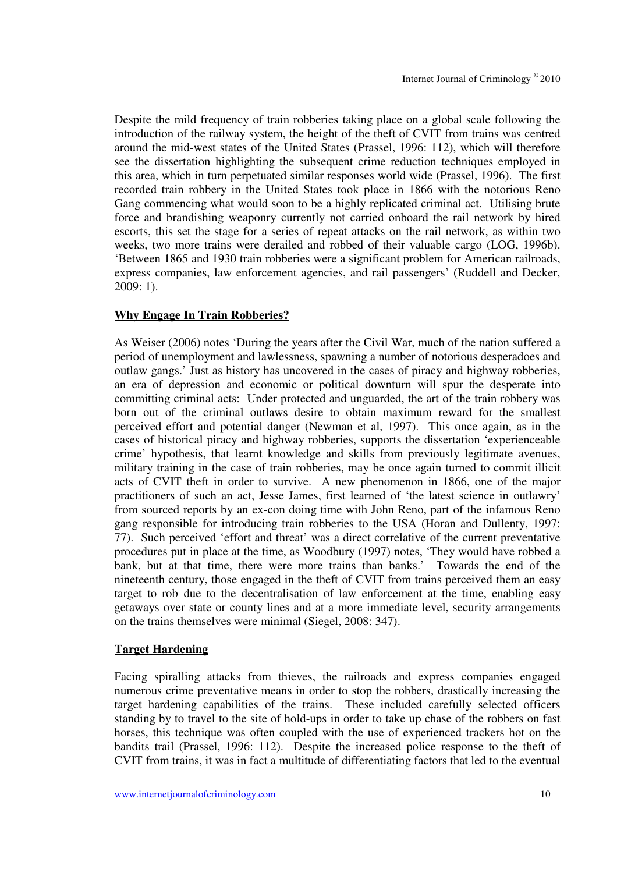Despite the mild frequency of train robberies taking place on a global scale following the introduction of the railway system, the height of the theft of CVIT from trains was centred around the mid-west states of the United States (Prassel, 1996: 112), which will therefore see the dissertation highlighting the subsequent crime reduction techniques employed in this area, which in turn perpetuated similar responses world wide (Prassel, 1996). The first recorded train robbery in the United States took place in 1866 with the notorious Reno Gang commencing what would soon to be a highly replicated criminal act. Utilising brute force and brandishing weaponry currently not carried onboard the rail network by hired escorts, this set the stage for a series of repeat attacks on the rail network, as within two weeks, two more trains were derailed and robbed of their valuable cargo (LOG, 1996b). 'Between 1865 and 1930 train robberies were a significant problem for American railroads, express companies, law enforcement agencies, and rail passengers' (Ruddell and Decker, 2009: 1).

#### **Why Engage In Train Robberies?**

As Weiser (2006) notes 'During the years after the Civil War, much of the nation suffered a period of unemployment and lawlessness, spawning a number of notorious desperadoes and outlaw gangs.' Just as history has uncovered in the cases of piracy and highway robberies, an era of depression and economic or political downturn will spur the desperate into committing criminal acts: Under protected and unguarded, the art of the train robbery was born out of the criminal outlaws desire to obtain maximum reward for the smallest perceived effort and potential danger (Newman et al, 1997). This once again, as in the cases of historical piracy and highway robberies, supports the dissertation 'experienceable crime' hypothesis, that learnt knowledge and skills from previously legitimate avenues, military training in the case of train robberies, may be once again turned to commit illicit acts of CVIT theft in order to survive. A new phenomenon in 1866, one of the major practitioners of such an act, Jesse James, first learned of 'the latest science in outlawry' from sourced reports by an ex-con doing time with John Reno, part of the infamous Reno gang responsible for introducing train robberies to the USA (Horan and Dullenty, 1997: 77). Such perceived 'effort and threat' was a direct correlative of the current preventative procedures put in place at the time, as Woodbury (1997) notes, 'They would have robbed a bank, but at that time, there were more trains than banks.' Towards the end of the nineteenth century, those engaged in the theft of CVIT from trains perceived them an easy target to rob due to the decentralisation of law enforcement at the time, enabling easy getaways over state or county lines and at a more immediate level, security arrangements on the trains themselves were minimal (Siegel, 2008: 347).

#### **Target Hardening**

Facing spiralling attacks from thieves, the railroads and express companies engaged numerous crime preventative means in order to stop the robbers, drastically increasing the target hardening capabilities of the trains. These included carefully selected officers standing by to travel to the site of hold-ups in order to take up chase of the robbers on fast horses, this technique was often coupled with the use of experienced trackers hot on the bandits trail (Prassel, 1996: 112). Despite the increased police response to the theft of CVIT from trains, it was in fact a multitude of differentiating factors that led to the eventual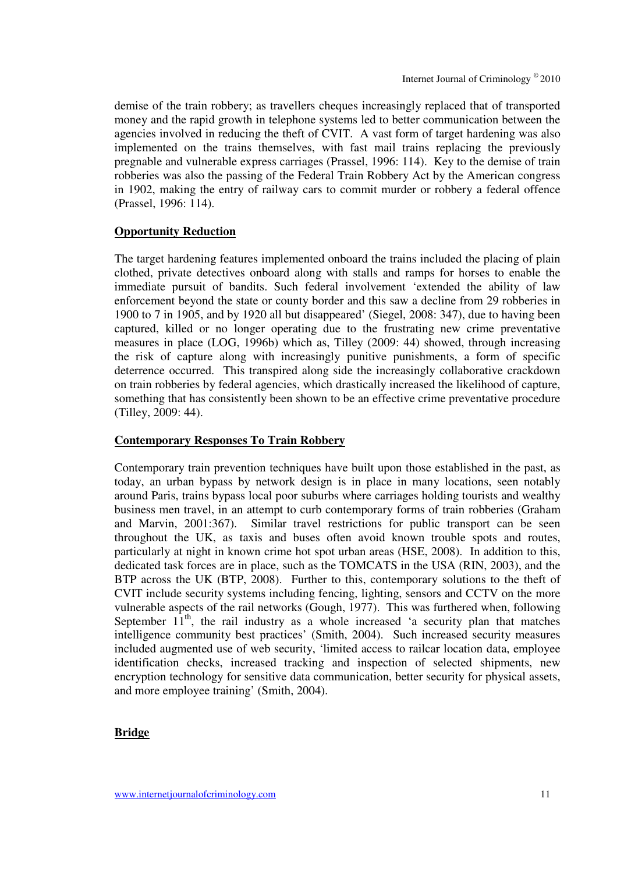demise of the train robbery; as travellers cheques increasingly replaced that of transported money and the rapid growth in telephone systems led to better communication between the agencies involved in reducing the theft of CVIT. A vast form of target hardening was also implemented on the trains themselves, with fast mail trains replacing the previously pregnable and vulnerable express carriages (Prassel, 1996: 114). Key to the demise of train robberies was also the passing of the Federal Train Robbery Act by the American congress in 1902, making the entry of railway cars to commit murder or robbery a federal offence (Prassel, 1996: 114).

#### **Opportunity Reduction**

The target hardening features implemented onboard the trains included the placing of plain clothed, private detectives onboard along with stalls and ramps for horses to enable the immediate pursuit of bandits. Such federal involvement 'extended the ability of law enforcement beyond the state or county border and this saw a decline from 29 robberies in 1900 to 7 in 1905, and by 1920 all but disappeared' (Siegel, 2008: 347), due to having been captured, killed or no longer operating due to the frustrating new crime preventative measures in place (LOG, 1996b) which as, Tilley (2009: 44) showed, through increasing the risk of capture along with increasingly punitive punishments, a form of specific deterrence occurred. This transpired along side the increasingly collaborative crackdown on train robberies by federal agencies, which drastically increased the likelihood of capture, something that has consistently been shown to be an effective crime preventative procedure (Tilley, 2009: 44).

#### **Contemporary Responses To Train Robbery**

Contemporary train prevention techniques have built upon those established in the past, as today, an urban bypass by network design is in place in many locations, seen notably around Paris, trains bypass local poor suburbs where carriages holding tourists and wealthy business men travel, in an attempt to curb contemporary forms of train robberies (Graham and Marvin, 2001:367). Similar travel restrictions for public transport can be seen throughout the UK, as taxis and buses often avoid known trouble spots and routes, particularly at night in known crime hot spot urban areas (HSE, 2008). In addition to this, dedicated task forces are in place, such as the TOMCATS in the USA (RIN, 2003), and the BTP across the UK (BTP, 2008). Further to this, contemporary solutions to the theft of CVIT include security systems including fencing, lighting, sensors and CCTV on the more vulnerable aspects of the rail networks (Gough, 1977). This was furthered when, following September  $11<sup>th</sup>$ , the rail industry as a whole increased 'a security plan that matches intelligence community best practices' (Smith, 2004). Such increased security measures included augmented use of web security, 'limited access to railcar location data, employee identification checks, increased tracking and inspection of selected shipments, new encryption technology for sensitive data communication, better security for physical assets, and more employee training' (Smith, 2004).

#### **Bridge**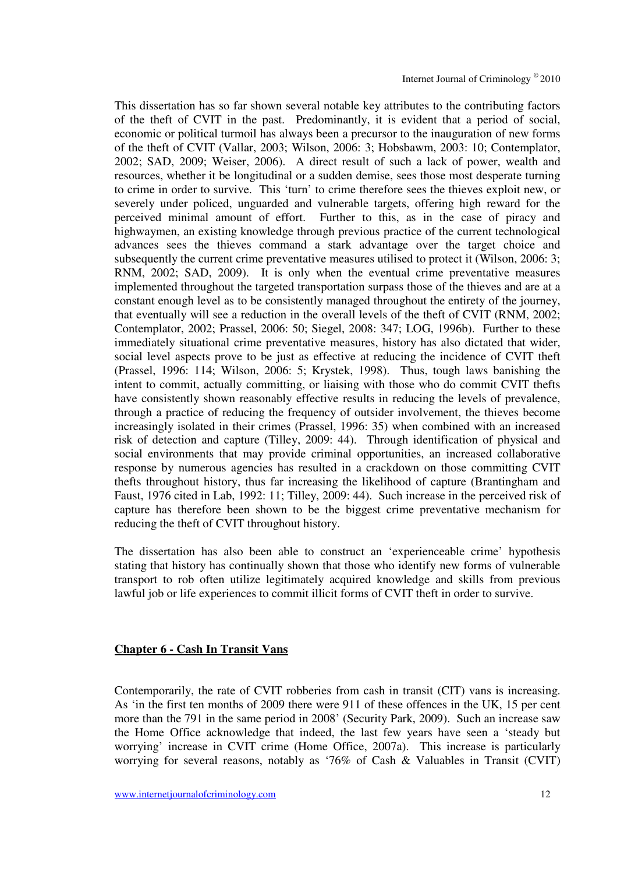This dissertation has so far shown several notable key attributes to the contributing factors of the theft of CVIT in the past. Predominantly, it is evident that a period of social, economic or political turmoil has always been a precursor to the inauguration of new forms of the theft of CVIT (Vallar, 2003; Wilson, 2006: 3; Hobsbawm, 2003: 10; Contemplator, 2002; SAD, 2009; Weiser, 2006). A direct result of such a lack of power, wealth and resources, whether it be longitudinal or a sudden demise, sees those most desperate turning to crime in order to survive. This 'turn' to crime therefore sees the thieves exploit new, or severely under policed, unguarded and vulnerable targets, offering high reward for the perceived minimal amount of effort. Further to this, as in the case of piracy and highwaymen, an existing knowledge through previous practice of the current technological advances sees the thieves command a stark advantage over the target choice and subsequently the current crime preventative measures utilised to protect it (Wilson, 2006: 3; RNM, 2002; SAD, 2009). It is only when the eventual crime preventative measures implemented throughout the targeted transportation surpass those of the thieves and are at a constant enough level as to be consistently managed throughout the entirety of the journey, that eventually will see a reduction in the overall levels of the theft of CVIT (RNM, 2002; Contemplator, 2002; Prassel, 2006: 50; Siegel, 2008: 347; LOG, 1996b). Further to these immediately situational crime preventative measures, history has also dictated that wider, social level aspects prove to be just as effective at reducing the incidence of CVIT theft (Prassel, 1996: 114; Wilson, 2006: 5; Krystek, 1998). Thus, tough laws banishing the intent to commit, actually committing, or liaising with those who do commit CVIT thefts have consistently shown reasonably effective results in reducing the levels of prevalence, through a practice of reducing the frequency of outsider involvement, the thieves become increasingly isolated in their crimes (Prassel, 1996: 35) when combined with an increased risk of detection and capture (Tilley, 2009: 44). Through identification of physical and social environments that may provide criminal opportunities, an increased collaborative response by numerous agencies has resulted in a crackdown on those committing CVIT thefts throughout history, thus far increasing the likelihood of capture (Brantingham and Faust, 1976 cited in Lab, 1992: 11; Tilley, 2009: 44). Such increase in the perceived risk of capture has therefore been shown to be the biggest crime preventative mechanism for reducing the theft of CVIT throughout history.

The dissertation has also been able to construct an 'experienceable crime' hypothesis stating that history has continually shown that those who identify new forms of vulnerable transport to rob often utilize legitimately acquired knowledge and skills from previous lawful job or life experiences to commit illicit forms of CVIT theft in order to survive.

#### **Chapter 6 - Cash In Transit Vans**

Contemporarily, the rate of CVIT robberies from cash in transit (CIT) vans is increasing. As 'in the first ten months of 2009 there were 911 of these offences in the UK, 15 per cent more than the 791 in the same period in 2008' (Security Park, 2009). Such an increase saw the Home Office acknowledge that indeed, the last few years have seen a 'steady but worrying' increase in CVIT crime (Home Office, 2007a). This increase is particularly worrying for several reasons, notably as '76% of Cash & Valuables in Transit (CVIT)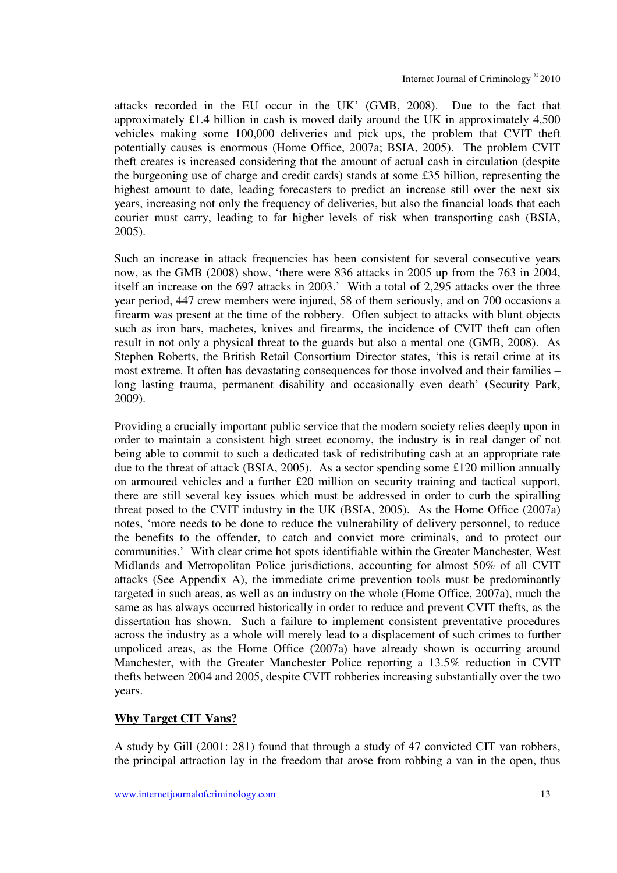attacks recorded in the EU occur in the UK' (GMB, 2008). Due to the fact that approximately £1.4 billion in cash is moved daily around the UK in approximately 4,500 vehicles making some 100,000 deliveries and pick ups, the problem that CVIT theft potentially causes is enormous (Home Office, 2007a; BSIA, 2005). The problem CVIT theft creates is increased considering that the amount of actual cash in circulation (despite the burgeoning use of charge and credit cards) stands at some £35 billion, representing the highest amount to date, leading forecasters to predict an increase still over the next six years, increasing not only the frequency of deliveries, but also the financial loads that each courier must carry, leading to far higher levels of risk when transporting cash (BSIA, 2005).

Such an increase in attack frequencies has been consistent for several consecutive years now, as the GMB (2008) show, 'there were 836 attacks in 2005 up from the 763 in 2004, itself an increase on the 697 attacks in 2003.' With a total of 2,295 attacks over the three year period, 447 crew members were injured, 58 of them seriously, and on 700 occasions a firearm was present at the time of the robbery. Often subject to attacks with blunt objects such as iron bars, machetes, knives and firearms, the incidence of CVIT theft can often result in not only a physical threat to the guards but also a mental one (GMB, 2008). As Stephen Roberts, the British Retail Consortium Director states, 'this is retail crime at its most extreme. It often has devastating consequences for those involved and their families – long lasting trauma, permanent disability and occasionally even death' (Security Park, 2009).

Providing a crucially important public service that the modern society relies deeply upon in order to maintain a consistent high street economy, the industry is in real danger of not being able to commit to such a dedicated task of redistributing cash at an appropriate rate due to the threat of attack (BSIA, 2005). As a sector spending some £120 million annually on armoured vehicles and a further £20 million on security training and tactical support, there are still several key issues which must be addressed in order to curb the spiralling threat posed to the CVIT industry in the UK (BSIA, 2005). As the Home Office (2007a) notes, 'more needs to be done to reduce the vulnerability of delivery personnel, to reduce the benefits to the offender, to catch and convict more criminals, and to protect our communities.' With clear crime hot spots identifiable within the Greater Manchester, West Midlands and Metropolitan Police jurisdictions, accounting for almost 50% of all CVIT attacks (See Appendix A), the immediate crime prevention tools must be predominantly targeted in such areas, as well as an industry on the whole (Home Office, 2007a), much the same as has always occurred historically in order to reduce and prevent CVIT thefts, as the dissertation has shown. Such a failure to implement consistent preventative procedures across the industry as a whole will merely lead to a displacement of such crimes to further unpoliced areas, as the Home Office (2007a) have already shown is occurring around Manchester, with the Greater Manchester Police reporting a 13.5% reduction in CVIT thefts between 2004 and 2005, despite CVIT robberies increasing substantially over the two years.

#### **Why Target CIT Vans?**

A study by Gill (2001: 281) found that through a study of 47 convicted CIT van robbers, the principal attraction lay in the freedom that arose from robbing a van in the open, thus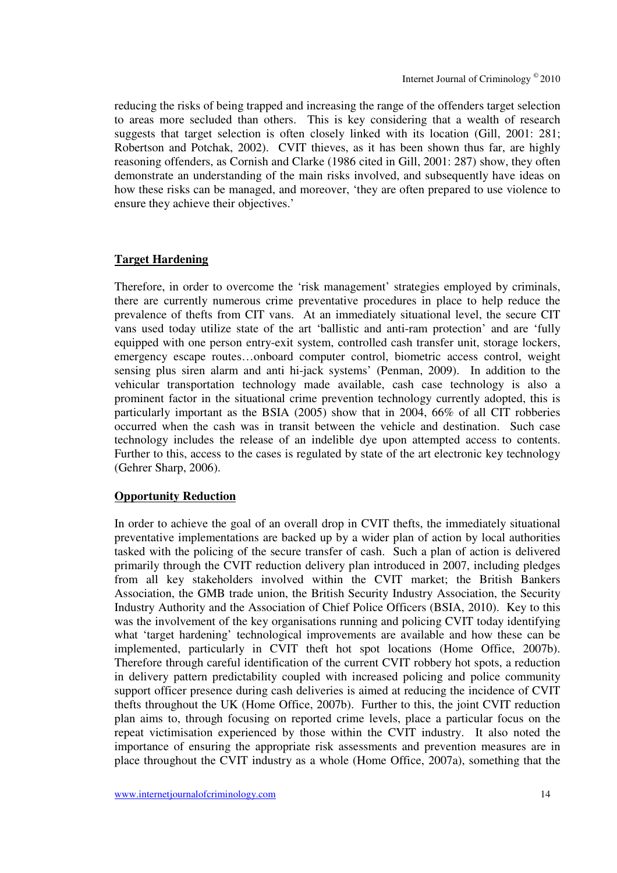reducing the risks of being trapped and increasing the range of the offenders target selection to areas more secluded than others. This is key considering that a wealth of research suggests that target selection is often closely linked with its location (Gill, 2001: 281; Robertson and Potchak, 2002). CVIT thieves, as it has been shown thus far, are highly reasoning offenders, as Cornish and Clarke (1986 cited in Gill, 2001: 287) show, they often demonstrate an understanding of the main risks involved, and subsequently have ideas on how these risks can be managed, and moreover, 'they are often prepared to use violence to ensure they achieve their objectives.'

#### **Target Hardening**

Therefore, in order to overcome the 'risk management' strategies employed by criminals, there are currently numerous crime preventative procedures in place to help reduce the prevalence of thefts from CIT vans. At an immediately situational level, the secure CIT vans used today utilize state of the art 'ballistic and anti-ram protection' and are 'fully equipped with one person entry-exit system, controlled cash transfer unit, storage lockers, emergency escape routes…onboard computer control, biometric access control, weight sensing plus siren alarm and anti hi-jack systems' (Penman, 2009). In addition to the vehicular transportation technology made available, cash case technology is also a prominent factor in the situational crime prevention technology currently adopted, this is particularly important as the BSIA (2005) show that in 2004, 66% of all CIT robberies occurred when the cash was in transit between the vehicle and destination. Such case technology includes the release of an indelible dye upon attempted access to contents. Further to this, access to the cases is regulated by state of the art electronic key technology (Gehrer Sharp, 2006).

#### **Opportunity Reduction**

In order to achieve the goal of an overall drop in CVIT thefts, the immediately situational preventative implementations are backed up by a wider plan of action by local authorities tasked with the policing of the secure transfer of cash. Such a plan of action is delivered primarily through the CVIT reduction delivery plan introduced in 2007, including pledges from all key stakeholders involved within the CVIT market; the British Bankers Association, the GMB trade union, the British Security Industry Association, the Security Industry Authority and the Association of Chief Police Officers (BSIA, 2010). Key to this was the involvement of the key organisations running and policing CVIT today identifying what 'target hardening' technological improvements are available and how these can be implemented, particularly in CVIT theft hot spot locations (Home Office, 2007b). Therefore through careful identification of the current CVIT robbery hot spots, a reduction in delivery pattern predictability coupled with increased policing and police community support officer presence during cash deliveries is aimed at reducing the incidence of CVIT thefts throughout the UK (Home Office, 2007b). Further to this, the joint CVIT reduction plan aims to, through focusing on reported crime levels, place a particular focus on the repeat victimisation experienced by those within the CVIT industry. It also noted the importance of ensuring the appropriate risk assessments and prevention measures are in place throughout the CVIT industry as a whole (Home Office, 2007a), something that the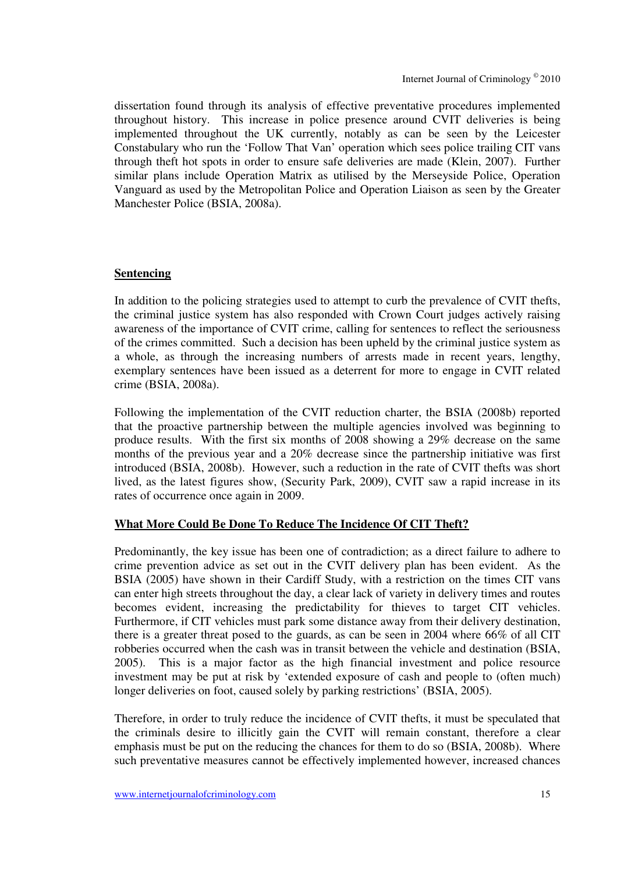dissertation found through its analysis of effective preventative procedures implemented throughout history. This increase in police presence around CVIT deliveries is being implemented throughout the UK currently, notably as can be seen by the Leicester Constabulary who run the 'Follow That Van' operation which sees police trailing CIT vans through theft hot spots in order to ensure safe deliveries are made (Klein, 2007). Further similar plans include Operation Matrix as utilised by the Merseyside Police, Operation Vanguard as used by the Metropolitan Police and Operation Liaison as seen by the Greater Manchester Police (BSIA, 2008a).

#### **Sentencing**

In addition to the policing strategies used to attempt to curb the prevalence of CVIT thefts, the criminal justice system has also responded with Crown Court judges actively raising awareness of the importance of CVIT crime, calling for sentences to reflect the seriousness of the crimes committed. Such a decision has been upheld by the criminal justice system as a whole, as through the increasing numbers of arrests made in recent years, lengthy, exemplary sentences have been issued as a deterrent for more to engage in CVIT related crime (BSIA, 2008a).

Following the implementation of the CVIT reduction charter, the BSIA (2008b) reported that the proactive partnership between the multiple agencies involved was beginning to produce results. With the first six months of 2008 showing a 29% decrease on the same months of the previous year and a 20% decrease since the partnership initiative was first introduced (BSIA, 2008b). However, such a reduction in the rate of CVIT thefts was short lived, as the latest figures show, (Security Park, 2009), CVIT saw a rapid increase in its rates of occurrence once again in 2009.

#### **What More Could Be Done To Reduce The Incidence Of CIT Theft?**

Predominantly, the key issue has been one of contradiction; as a direct failure to adhere to crime prevention advice as set out in the CVIT delivery plan has been evident. As the BSIA (2005) have shown in their Cardiff Study, with a restriction on the times CIT vans can enter high streets throughout the day, a clear lack of variety in delivery times and routes becomes evident, increasing the predictability for thieves to target CIT vehicles. Furthermore, if CIT vehicles must park some distance away from their delivery destination, there is a greater threat posed to the guards, as can be seen in 2004 where 66% of all CIT robberies occurred when the cash was in transit between the vehicle and destination (BSIA, 2005). This is a major factor as the high financial investment and police resource investment may be put at risk by 'extended exposure of cash and people to (often much) longer deliveries on foot, caused solely by parking restrictions' (BSIA, 2005).

Therefore, in order to truly reduce the incidence of CVIT thefts, it must be speculated that the criminals desire to illicitly gain the CVIT will remain constant, therefore a clear emphasis must be put on the reducing the chances for them to do so (BSIA, 2008b). Where such preventative measures cannot be effectively implemented however, increased chances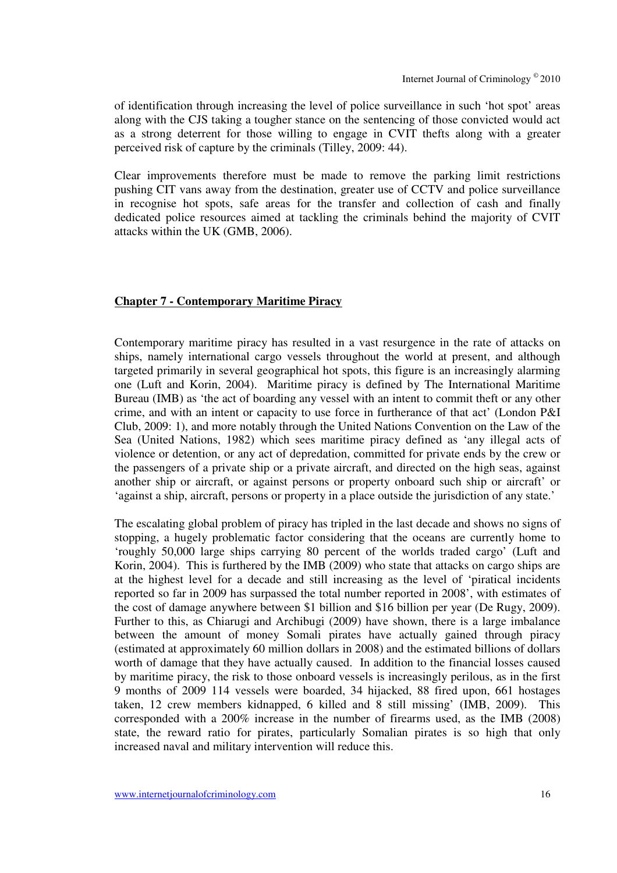of identification through increasing the level of police surveillance in such 'hot spot' areas along with the CJS taking a tougher stance on the sentencing of those convicted would act as a strong deterrent for those willing to engage in CVIT thefts along with a greater perceived risk of capture by the criminals (Tilley, 2009: 44).

Clear improvements therefore must be made to remove the parking limit restrictions pushing CIT vans away from the destination, greater use of CCTV and police surveillance in recognise hot spots, safe areas for the transfer and collection of cash and finally dedicated police resources aimed at tackling the criminals behind the majority of CVIT attacks within the UK (GMB, 2006).

#### **Chapter 7 - Contemporary Maritime Piracy**

Contemporary maritime piracy has resulted in a vast resurgence in the rate of attacks on ships, namely international cargo vessels throughout the world at present, and although targeted primarily in several geographical hot spots, this figure is an increasingly alarming one (Luft and Korin, 2004). Maritime piracy is defined by The International Maritime Bureau (IMB) as 'the act of boarding any vessel with an intent to commit theft or any other crime, and with an intent or capacity to use force in furtherance of that act' (London P&I Club, 2009: 1), and more notably through the United Nations Convention on the Law of the Sea (United Nations, 1982) which sees maritime piracy defined as 'any illegal acts of violence or detention, or any act of depredation, committed for private ends by the crew or the passengers of a private ship or a private aircraft, and directed on the high seas, against another ship or aircraft, or against persons or property onboard such ship or aircraft' or 'against a ship, aircraft, persons or property in a place outside the jurisdiction of any state.'

The escalating global problem of piracy has tripled in the last decade and shows no signs of stopping, a hugely problematic factor considering that the oceans are currently home to 'roughly 50,000 large ships carrying 80 percent of the worlds traded cargo' (Luft and Korin, 2004). This is furthered by the IMB (2009) who state that attacks on cargo ships are at the highest level for a decade and still increasing as the level of 'piratical incidents reported so far in 2009 has surpassed the total number reported in 2008', with estimates of the cost of damage anywhere between \$1 billion and \$16 billion per year (De Rugy, 2009). Further to this, as Chiarugi and Archibugi (2009) have shown, there is a large imbalance between the amount of money Somali pirates have actually gained through piracy (estimated at approximately 60 million dollars in 2008) and the estimated billions of dollars worth of damage that they have actually caused. In addition to the financial losses caused by maritime piracy, the risk to those onboard vessels is increasingly perilous, as in the first 9 months of 2009 114 vessels were boarded, 34 hijacked, 88 fired upon, 661 hostages taken, 12 crew members kidnapped, 6 killed and 8 still missing' (IMB, 2009). This corresponded with a 200% increase in the number of firearms used, as the IMB (2008) state, the reward ratio for pirates, particularly Somalian pirates is so high that only increased naval and military intervention will reduce this.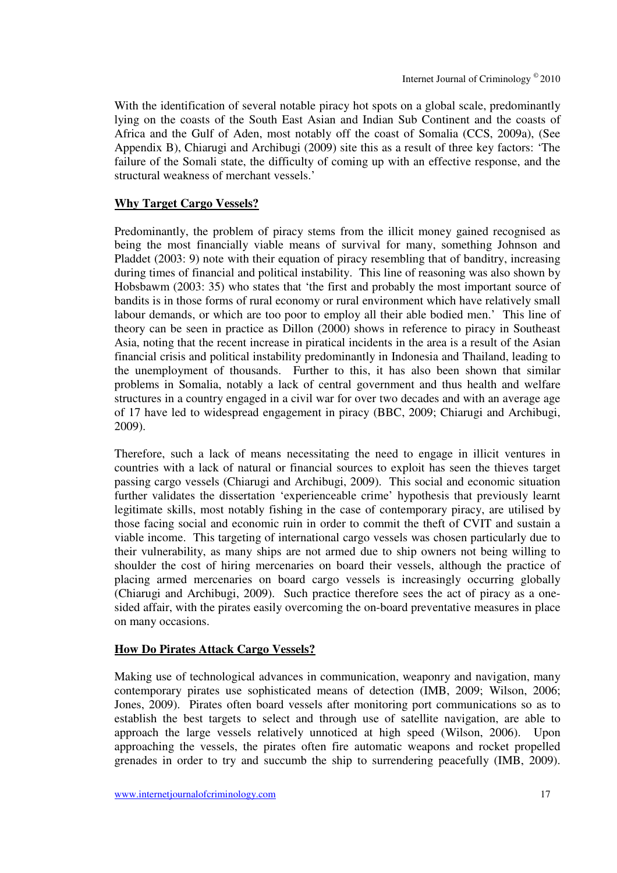With the identification of several notable piracy hot spots on a global scale, predominantly lying on the coasts of the South East Asian and Indian Sub Continent and the coasts of Africa and the Gulf of Aden, most notably off the coast of Somalia (CCS, 2009a), (See Appendix B), Chiarugi and Archibugi (2009) site this as a result of three key factors: 'The failure of the Somali state, the difficulty of coming up with an effective response, and the structural weakness of merchant vessels.'

#### **Why Target Cargo Vessels?**

Predominantly, the problem of piracy stems from the illicit money gained recognised as being the most financially viable means of survival for many, something Johnson and Pladdet (2003: 9) note with their equation of piracy resembling that of banditry, increasing during times of financial and political instability. This line of reasoning was also shown by Hobsbawm (2003: 35) who states that 'the first and probably the most important source of bandits is in those forms of rural economy or rural environment which have relatively small labour demands, or which are too poor to employ all their able bodied men.' This line of theory can be seen in practice as Dillon (2000) shows in reference to piracy in Southeast Asia, noting that the recent increase in piratical incidents in the area is a result of the Asian financial crisis and political instability predominantly in Indonesia and Thailand, leading to the unemployment of thousands. Further to this, it has also been shown that similar problems in Somalia, notably a lack of central government and thus health and welfare structures in a country engaged in a civil war for over two decades and with an average age of 17 have led to widespread engagement in piracy (BBC, 2009; Chiarugi and Archibugi, 2009).

Therefore, such a lack of means necessitating the need to engage in illicit ventures in countries with a lack of natural or financial sources to exploit has seen the thieves target passing cargo vessels (Chiarugi and Archibugi, 2009). This social and economic situation further validates the dissertation 'experienceable crime' hypothesis that previously learnt legitimate skills, most notably fishing in the case of contemporary piracy, are utilised by those facing social and economic ruin in order to commit the theft of CVIT and sustain a viable income. This targeting of international cargo vessels was chosen particularly due to their vulnerability, as many ships are not armed due to ship owners not being willing to shoulder the cost of hiring mercenaries on board their vessels, although the practice of placing armed mercenaries on board cargo vessels is increasingly occurring globally (Chiarugi and Archibugi, 2009). Such practice therefore sees the act of piracy as a onesided affair, with the pirates easily overcoming the on-board preventative measures in place on many occasions.

#### **How Do Pirates Attack Cargo Vessels?**

Making use of technological advances in communication, weaponry and navigation, many contemporary pirates use sophisticated means of detection (IMB, 2009; Wilson, 2006; Jones, 2009). Pirates often board vessels after monitoring port communications so as to establish the best targets to select and through use of satellite navigation, are able to approach the large vessels relatively unnoticed at high speed (Wilson, 2006). Upon approaching the vessels, the pirates often fire automatic weapons and rocket propelled grenades in order to try and succumb the ship to surrendering peacefully (IMB, 2009).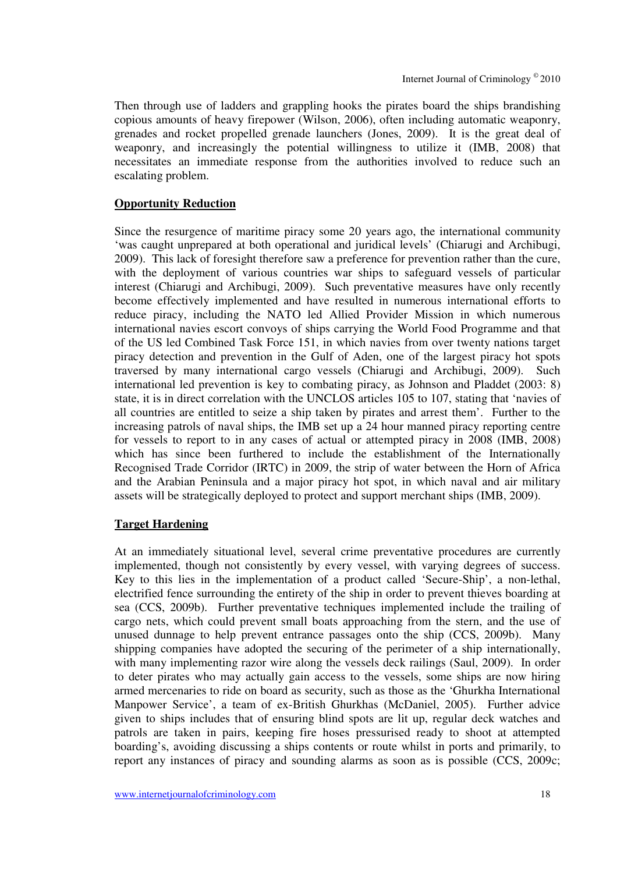Then through use of ladders and grappling hooks the pirates board the ships brandishing copious amounts of heavy firepower (Wilson, 2006), often including automatic weaponry, grenades and rocket propelled grenade launchers (Jones, 2009). It is the great deal of weaponry, and increasingly the potential willingness to utilize it (IMB, 2008) that necessitates an immediate response from the authorities involved to reduce such an escalating problem.

#### **Opportunity Reduction**

Since the resurgence of maritime piracy some 20 years ago, the international community 'was caught unprepared at both operational and juridical levels' (Chiarugi and Archibugi, 2009). This lack of foresight therefore saw a preference for prevention rather than the cure, with the deployment of various countries war ships to safeguard vessels of particular interest (Chiarugi and Archibugi, 2009). Such preventative measures have only recently become effectively implemented and have resulted in numerous international efforts to reduce piracy, including the NATO led Allied Provider Mission in which numerous international navies escort convoys of ships carrying the World Food Programme and that of the US led Combined Task Force 151, in which navies from over twenty nations target piracy detection and prevention in the Gulf of Aden, one of the largest piracy hot spots traversed by many international cargo vessels (Chiarugi and Archibugi, 2009). Such international led prevention is key to combating piracy, as Johnson and Pladdet (2003: 8) state, it is in direct correlation with the UNCLOS articles 105 to 107, stating that 'navies of all countries are entitled to seize a ship taken by pirates and arrest them'. Further to the increasing patrols of naval ships, the IMB set up a 24 hour manned piracy reporting centre for vessels to report to in any cases of actual or attempted piracy in 2008 (IMB, 2008) which has since been furthered to include the establishment of the Internationally Recognised Trade Corridor (IRTC) in 2009, the strip of water between the Horn of Africa and the Arabian Peninsula and a major piracy hot spot, in which naval and air military assets will be strategically deployed to protect and support merchant ships (IMB, 2009).

#### **Target Hardening**

At an immediately situational level, several crime preventative procedures are currently implemented, though not consistently by every vessel, with varying degrees of success. Key to this lies in the implementation of a product called 'Secure-Ship', a non-lethal, electrified fence surrounding the entirety of the ship in order to prevent thieves boarding at sea (CCS, 2009b). Further preventative techniques implemented include the trailing of cargo nets, which could prevent small boats approaching from the stern, and the use of unused dunnage to help prevent entrance passages onto the ship (CCS, 2009b). Many shipping companies have adopted the securing of the perimeter of a ship internationally, with many implementing razor wire along the vessels deck railings (Saul, 2009). In order to deter pirates who may actually gain access to the vessels, some ships are now hiring armed mercenaries to ride on board as security, such as those as the 'Ghurkha International Manpower Service', a team of ex-British Ghurkhas (McDaniel, 2005). Further advice given to ships includes that of ensuring blind spots are lit up, regular deck watches and patrols are taken in pairs, keeping fire hoses pressurised ready to shoot at attempted boarding's, avoiding discussing a ships contents or route whilst in ports and primarily, to report any instances of piracy and sounding alarms as soon as is possible (CCS, 2009c;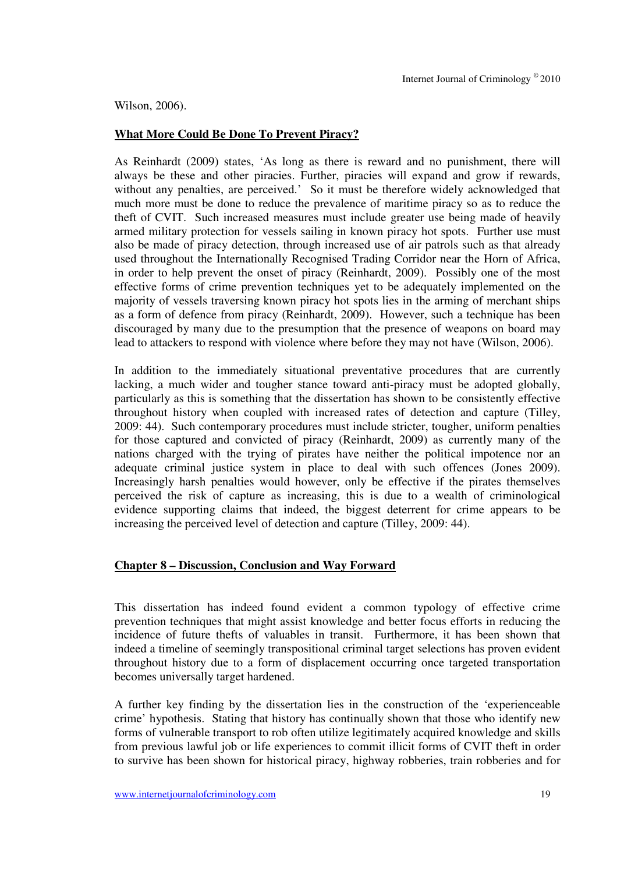Wilson, 2006).

#### **What More Could Be Done To Prevent Piracy?**

As Reinhardt (2009) states, 'As long as there is reward and no punishment, there will always be these and other piracies. Further, piracies will expand and grow if rewards, without any penalties, are perceived.' So it must be therefore widely acknowledged that much more must be done to reduce the prevalence of maritime piracy so as to reduce the theft of CVIT. Such increased measures must include greater use being made of heavily armed military protection for vessels sailing in known piracy hot spots. Further use must also be made of piracy detection, through increased use of air patrols such as that already used throughout the Internationally Recognised Trading Corridor near the Horn of Africa, in order to help prevent the onset of piracy (Reinhardt, 2009). Possibly one of the most effective forms of crime prevention techniques yet to be adequately implemented on the majority of vessels traversing known piracy hot spots lies in the arming of merchant ships as a form of defence from piracy (Reinhardt, 2009). However, such a technique has been discouraged by many due to the presumption that the presence of weapons on board may lead to attackers to respond with violence where before they may not have (Wilson, 2006).

In addition to the immediately situational preventative procedures that are currently lacking, a much wider and tougher stance toward anti-piracy must be adopted globally, particularly as this is something that the dissertation has shown to be consistently effective throughout history when coupled with increased rates of detection and capture (Tilley, 2009: 44). Such contemporary procedures must include stricter, tougher, uniform penalties for those captured and convicted of piracy (Reinhardt, 2009) as currently many of the nations charged with the trying of pirates have neither the political impotence nor an adequate criminal justice system in place to deal with such offences (Jones 2009). Increasingly harsh penalties would however, only be effective if the pirates themselves perceived the risk of capture as increasing, this is due to a wealth of criminological evidence supporting claims that indeed, the biggest deterrent for crime appears to be increasing the perceived level of detection and capture (Tilley, 2009: 44).

#### **Chapter 8 – Discussion, Conclusion and Way Forward**

This dissertation has indeed found evident a common typology of effective crime prevention techniques that might assist knowledge and better focus efforts in reducing the incidence of future thefts of valuables in transit. Furthermore, it has been shown that indeed a timeline of seemingly transpositional criminal target selections has proven evident throughout history due to a form of displacement occurring once targeted transportation becomes universally target hardened.

A further key finding by the dissertation lies in the construction of the 'experienceable crime' hypothesis. Stating that history has continually shown that those who identify new forms of vulnerable transport to rob often utilize legitimately acquired knowledge and skills from previous lawful job or life experiences to commit illicit forms of CVIT theft in order to survive has been shown for historical piracy, highway robberies, train robberies and for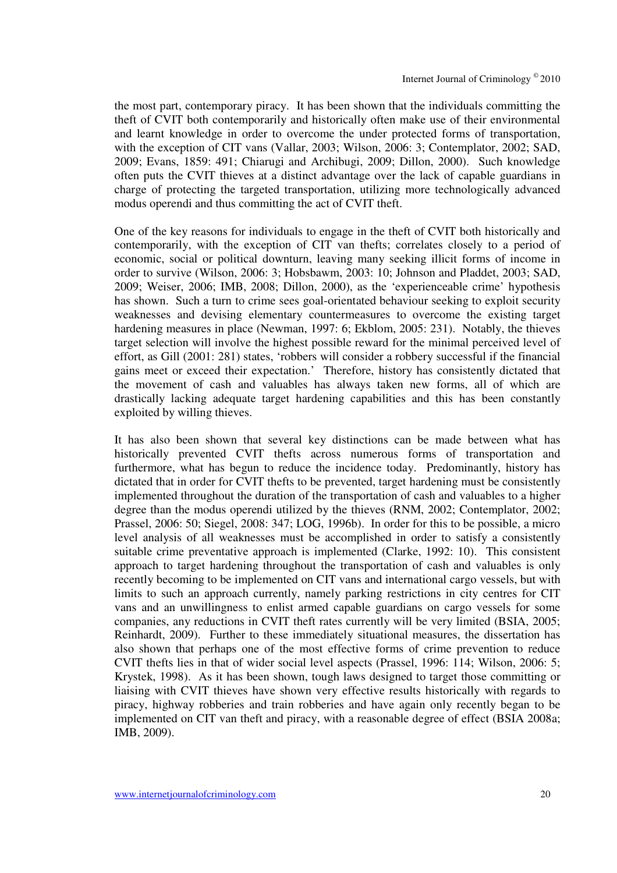the most part, contemporary piracy. It has been shown that the individuals committing the theft of CVIT both contemporarily and historically often make use of their environmental and learnt knowledge in order to overcome the under protected forms of transportation, with the exception of CIT vans (Vallar, 2003; Wilson, 2006: 3; Contemplator, 2002; SAD, 2009; Evans, 1859: 491; Chiarugi and Archibugi, 2009; Dillon, 2000). Such knowledge often puts the CVIT thieves at a distinct advantage over the lack of capable guardians in charge of protecting the targeted transportation, utilizing more technologically advanced modus operendi and thus committing the act of CVIT theft.

One of the key reasons for individuals to engage in the theft of CVIT both historically and contemporarily, with the exception of CIT van thefts; correlates closely to a period of economic, social or political downturn, leaving many seeking illicit forms of income in order to survive (Wilson, 2006: 3; Hobsbawm, 2003: 10; Johnson and Pladdet, 2003; SAD, 2009; Weiser, 2006; IMB, 2008; Dillon, 2000), as the 'experienceable crime' hypothesis has shown. Such a turn to crime sees goal-orientated behaviour seeking to exploit security weaknesses and devising elementary countermeasures to overcome the existing target hardening measures in place (Newman, 1997: 6; Ekblom, 2005: 231). Notably, the thieves target selection will involve the highest possible reward for the minimal perceived level of effort, as Gill (2001: 281) states, 'robbers will consider a robbery successful if the financial gains meet or exceed their expectation.' Therefore, history has consistently dictated that the movement of cash and valuables has always taken new forms, all of which are drastically lacking adequate target hardening capabilities and this has been constantly exploited by willing thieves.

It has also been shown that several key distinctions can be made between what has historically prevented CVIT thefts across numerous forms of transportation and furthermore, what has begun to reduce the incidence today. Predominantly, history has dictated that in order for CVIT thefts to be prevented, target hardening must be consistently implemented throughout the duration of the transportation of cash and valuables to a higher degree than the modus operendi utilized by the thieves (RNM, 2002; Contemplator, 2002; Prassel, 2006: 50; Siegel, 2008: 347; LOG, 1996b). In order for this to be possible, a micro level analysis of all weaknesses must be accomplished in order to satisfy a consistently suitable crime preventative approach is implemented (Clarke, 1992: 10). This consistent approach to target hardening throughout the transportation of cash and valuables is only recently becoming to be implemented on CIT vans and international cargo vessels, but with limits to such an approach currently, namely parking restrictions in city centres for CIT vans and an unwillingness to enlist armed capable guardians on cargo vessels for some companies, any reductions in CVIT theft rates currently will be very limited (BSIA, 2005; Reinhardt, 2009). Further to these immediately situational measures, the dissertation has also shown that perhaps one of the most effective forms of crime prevention to reduce CVIT thefts lies in that of wider social level aspects (Prassel, 1996: 114; Wilson, 2006: 5; Krystek, 1998). As it has been shown, tough laws designed to target those committing or liaising with CVIT thieves have shown very effective results historically with regards to piracy, highway robberies and train robberies and have again only recently began to be implemented on CIT van theft and piracy, with a reasonable degree of effect (BSIA 2008a; IMB, 2009).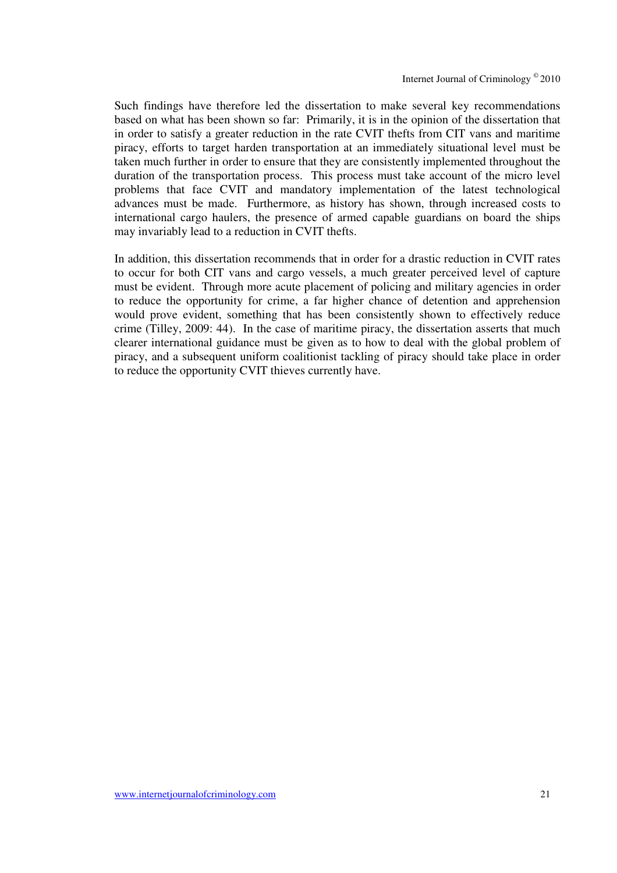Such findings have therefore led the dissertation to make several key recommendations based on what has been shown so far: Primarily, it is in the opinion of the dissertation that in order to satisfy a greater reduction in the rate CVIT thefts from CIT vans and maritime piracy, efforts to target harden transportation at an immediately situational level must be taken much further in order to ensure that they are consistently implemented throughout the duration of the transportation process. This process must take account of the micro level problems that face CVIT and mandatory implementation of the latest technological advances must be made. Furthermore, as history has shown, through increased costs to international cargo haulers, the presence of armed capable guardians on board the ships may invariably lead to a reduction in CVIT thefts.

In addition, this dissertation recommends that in order for a drastic reduction in CVIT rates to occur for both CIT vans and cargo vessels, a much greater perceived level of capture must be evident. Through more acute placement of policing and military agencies in order to reduce the opportunity for crime, a far higher chance of detention and apprehension would prove evident, something that has been consistently shown to effectively reduce crime (Tilley, 2009: 44). In the case of maritime piracy, the dissertation asserts that much clearer international guidance must be given as to how to deal with the global problem of piracy, and a subsequent uniform coalitionist tackling of piracy should take place in order to reduce the opportunity CVIT thieves currently have.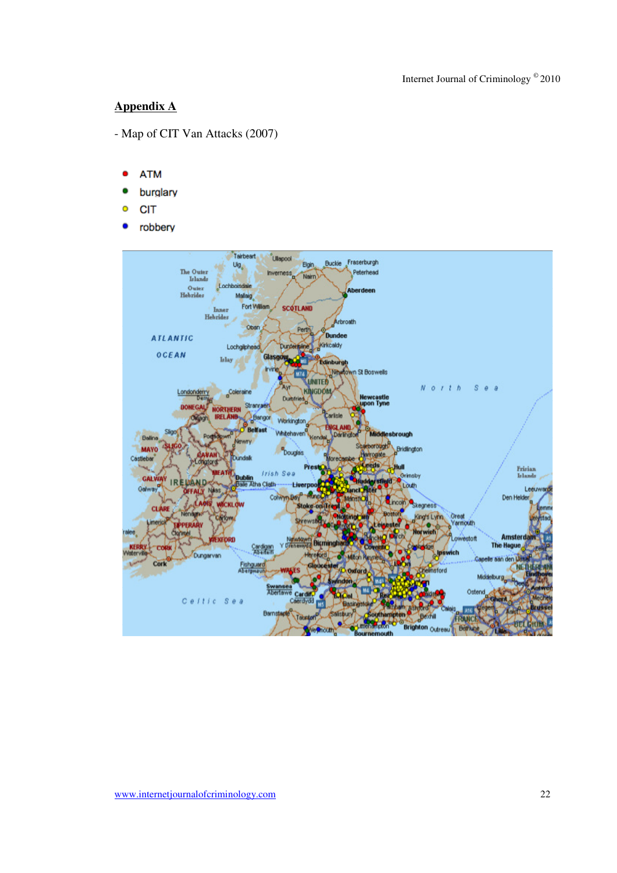## **Appendix A**

- Map of CIT Van Attacks (2007)
	- **ATM**
	- burglary
	- **CIT** Ō
	- robbery .

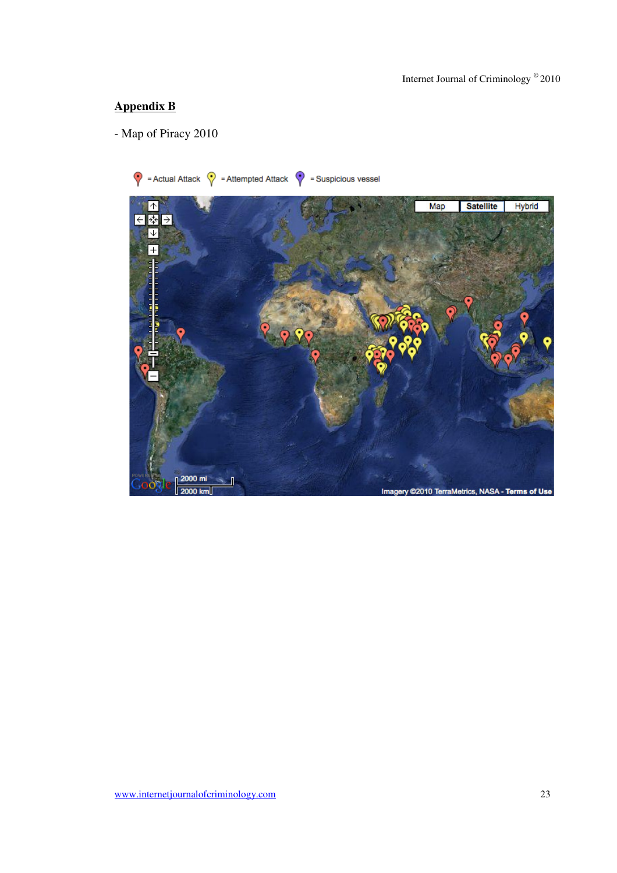## **Appendix B**

- Map of Piracy 2010

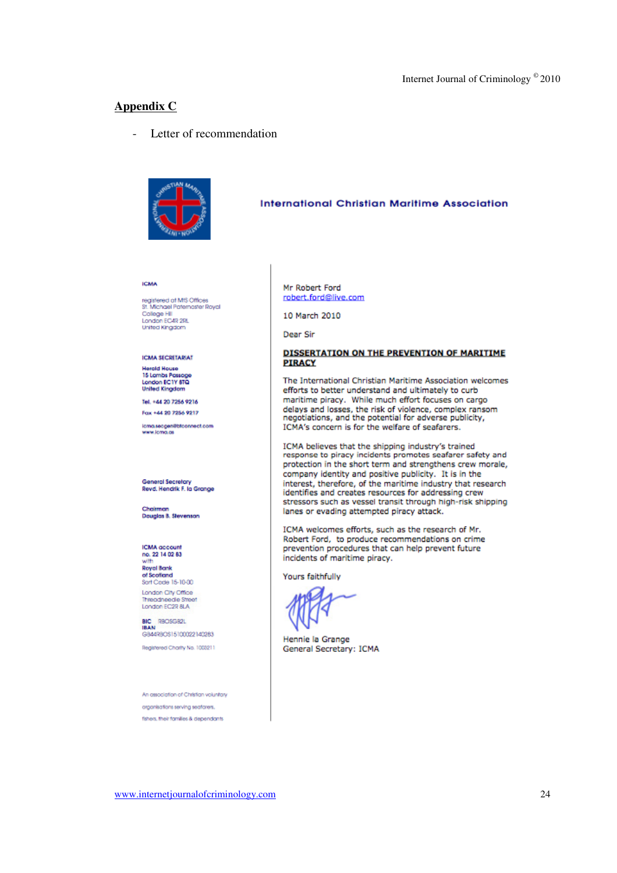#### **Appendix C**

- Letter of recommendation



#### **International Christian Maritime Association**

**ICMA** 

registered at MIS Offices<br>St. Michael Paternaster Royal<br>College Hill<br>London EC4R 2RL **United Kingstom** 

#### **ICMA SECRETARIAT**

**Hoteld House** 15 Lambs Passage<br>London EC1Y 8TQ **United Kingdom** 

Tel. +44 20 7256 9216 Fax +44 20 7256 9217

icma.secgen@blconnect.com<br>www.icma.as

#### **General Secretary** Revd. Hendrik F. la Grange

Chairman<br>Douglas B. Stevenson

**ICMA** account no. 22 14 02 83 with

**Royal Bank** of Scoffend<br>Sort Code 15-10-00 London City Office Threadneede Street

BIC RECISSER GB44RBOS15100022140283

Beakfased Charly No. 1003211

An association of Christian voluntary organisations serving seatorers. fshers, their families & dependants

#### Mr Robert Ford robert.ford@live.com

10 March 2010

Dear Sir

#### DISSERTATION ON THE PREVENTION OF MARITIME **PIRACY**

The International Christian Maritime Association welcomes efforts to better understand and ultimately to curb maritime piracy. While much effort focuses on cargo delays and losses, the risk of violence, complex ransom negotiations, and the potential for adverse publicity, ICMA's concern is for the welfare of seafarers.

ICMA believes that the shipping industry's trained response to piracy incidents promotes seafarer safety and protection in the short term and strengthens crew morale, company identity and positive publicity. It is in the interest, therefore, of the maritime industry that research identifies and creates resources for addressing crew stressors such as vessel transit through high-risk shipping lanes or evading attempted piracy attack.

ICMA welcomes efforts, such as the research of Mr. Robert Ford, to produce recommendations on crime prevention procedures that can help prevent future incidents of maritime piracy.

Yours faithfully

Hennie la Grange General Secretary: ICMA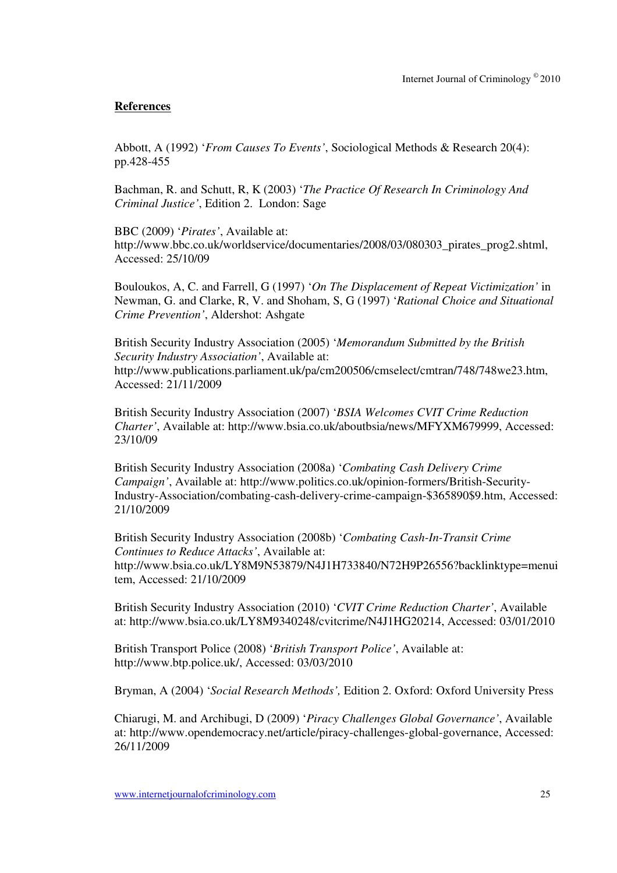## **References**

Abbott, A (1992) '*From Causes To Events'*, Sociological Methods & Research 20(4): pp.428-455

Bachman, R. and Schutt, R, K (2003) '*The Practice Of Research In Criminology And Criminal Justice'*, Edition 2. London: Sage

BBC (2009) '*Pirates'*, Available at: http://www.bbc.co.uk/worldservice/documentaries/2008/03/080303\_pirates\_prog2.shtml, Accessed: 25/10/09

Bouloukos, A, C. and Farrell, G (1997) '*On The Displacement of Repeat Victimization'* in Newman, G. and Clarke, R, V. and Shoham, S, G (1997) '*Rational Choice and Situational Crime Prevention'*, Aldershot: Ashgate

British Security Industry Association (2005) '*Memorandum Submitted by the British Security Industry Association'*, Available at: http://www.publications.parliament.uk/pa/cm200506/cmselect/cmtran/748/748we23.htm, Accessed: 21/11/2009

British Security Industry Association (2007) '*BSIA Welcomes CVIT Crime Reduction Charter'*, Available at: http://www.bsia.co.uk/aboutbsia/news/MFYXM679999, Accessed: 23/10/09

British Security Industry Association (2008a) '*Combating Cash Delivery Crime Campaign'*, Available at: http://www.politics.co.uk/opinion-formers/British-Security-Industry-Association/combating-cash-delivery-crime-campaign-\$365890\$9.htm, Accessed: 21/10/2009

British Security Industry Association (2008b) '*Combating Cash-In-Transit Crime Continues to Reduce Attacks'*, Available at: http://www.bsia.co.uk/LY8M9N53879/N4J1H733840/N72H9P26556?backlinktype=menui tem, Accessed: 21/10/2009

British Security Industry Association (2010) '*CVIT Crime Reduction Charter'*, Available at: http://www.bsia.co.uk/LY8M9340248/cvitcrime/N4J1HG20214, Accessed: 03/01/2010

British Transport Police (2008) '*British Transport Police'*, Available at: http://www.btp.police.uk/, Accessed: 03/03/2010

Bryman, A (2004) '*Social Research Methods',* Edition 2. Oxford: Oxford University Press

Chiarugi, M. and Archibugi, D (2009) '*Piracy Challenges Global Governance'*, Available at: http://www.opendemocracy.net/article/piracy-challenges-global-governance, Accessed: 26/11/2009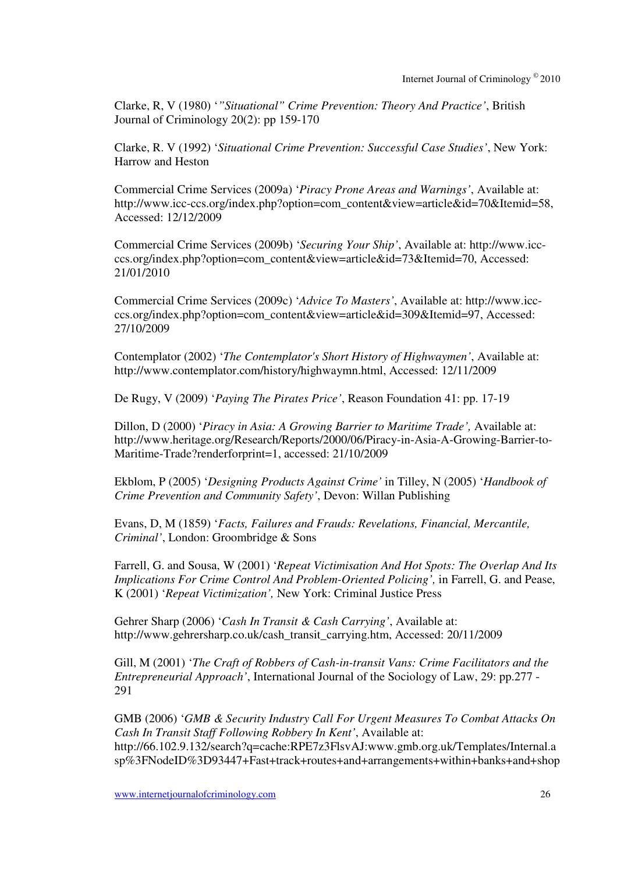Clarke, R, V (1980) '*"Situational" Crime Prevention: Theory And Practice'*, British Journal of Criminology 20(2): pp 159-170

Clarke, R. V (1992) '*Situational Crime Prevention: Successful Case Studies'*, New York: Harrow and Heston

Commercial Crime Services (2009a) '*Piracy Prone Areas and Warnings'*, Available at: http://www.icc-ccs.org/index.php?option=com\_content&view=article&id=70&Itemid=58, Accessed: 12/12/2009

Commercial Crime Services (2009b) '*Securing Your Ship'*, Available at: http://www.iccccs.org/index.php?option=com\_content&view=article&id=73&Itemid=70, Accessed: 21/01/2010

Commercial Crime Services (2009c) '*Advice To Masters'*, Available at: http://www.iccccs.org/index.php?option=com\_content&view=article&id=309&Itemid=97, Accessed: 27/10/2009

Contemplator (2002) '*The Contemplator's Short History of Highwaymen'*, Available at: http://www.contemplator.com/history/highwaymn.html, Accessed: 12/11/2009

De Rugy, V (2009) '*Paying The Pirates Price'*, Reason Foundation 41: pp. 17-19

Dillon, D (2000) '*Piracy in Asia: A Growing Barrier to Maritime Trade',* Available at: http://www.heritage.org/Research/Reports/2000/06/Piracy-in-Asia-A-Growing-Barrier-to-Maritime-Trade?renderforprint=1, accessed: 21/10/2009

Ekblom, P (2005) '*Designing Products Against Crime'* in Tilley, N (2005) '*Handbook of Crime Prevention and Community Safety'*, Devon: Willan Publishing

Evans, D, M (1859) '*Facts, Failures and Frauds: Revelations, Financial, Mercantile, Criminal'*, London: Groombridge & Sons

Farrell, G. and Sousa, W (2001) '*Repeat Victimisation And Hot Spots: The Overlap And Its Implications For Crime Control And Problem-Oriented Policing',* in Farrell, G. and Pease, K (2001) '*Repeat Victimization',* New York: Criminal Justice Press

Gehrer Sharp (2006) '*Cash In Transit & Cash Carrying'*, Available at: http://www.gehrersharp.co.uk/cash\_transit\_carrying.htm, Accessed: 20/11/2009

Gill, M (2001) '*The Craft of Robbers of Cash-in-transit Vans: Crime Facilitators and the Entrepreneurial Approach'*, International Journal of the Sociology of Law, 29: pp.277 - 291

GMB (2006) '*GMB & Security Industry Call For Urgent Measures To Combat Attacks On Cash In Transit Staff Following Robbery In Kent'*, Available at: http://66.102.9.132/search?q=cache:RPE7z3FlsvAJ:www.gmb.org.uk/Templates/Internal.a sp%3FNodeID%3D93447+Fast+track+routes+and+arrangements+within+banks+and+shop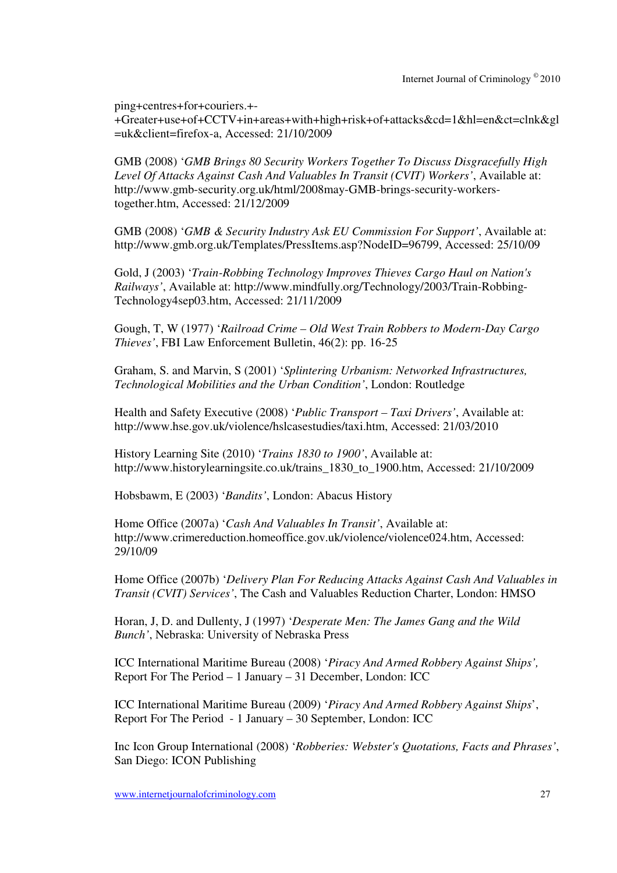ping+centres+for+couriers.+-

+Greater+use+of+CCTV+in+areas+with+high+risk+of+attacks&cd=1&hl=en&ct=clnk&gl =uk&client=firefox-a, Accessed: 21/10/2009

GMB (2008) '*GMB Brings 80 Security Workers Together To Discuss Disgracefully High Level Of Attacks Against Cash And Valuables In Transit (CVIT) Workers'*, Available at: http://www.gmb-security.org.uk/html/2008may-GMB-brings-security-workerstogether.htm, Accessed: 21/12/2009

GMB (2008) '*GMB & Security Industry Ask EU Commission For Support'*, Available at: http://www.gmb.org.uk/Templates/PressItems.asp?NodeID=96799, Accessed: 25/10/09

Gold, J (2003) '*Train-Robbing Technology Improves Thieves Cargo Haul on Nation's Railways'*, Available at: http://www.mindfully.org/Technology/2003/Train-Robbing-Technology4sep03.htm, Accessed: 21/11/2009

Gough, T, W (1977) '*Railroad Crime – Old West Train Robbers to Modern-Day Cargo Thieves'*, FBI Law Enforcement Bulletin, 46(2): pp. 16-25

Graham, S. and Marvin, S (2001) '*Splintering Urbanism: Networked Infrastructures, Technological Mobilities and the Urban Condition'*, London: Routledge

Health and Safety Executive (2008) '*Public Transport – Taxi Drivers'*, Available at: http://www.hse.gov.uk/violence/hslcasestudies/taxi.htm, Accessed: 21/03/2010

History Learning Site (2010) '*Trains 1830 to 1900'*, Available at: http://www.historylearningsite.co.uk/trains\_1830\_to\_1900.htm, Accessed: 21/10/2009

Hobsbawm, E (2003) '*Bandits'*, London: Abacus History

Home Office (2007a) '*Cash And Valuables In Transit'*, Available at: http://www.crimereduction.homeoffice.gov.uk/violence/violence024.htm, Accessed: 29/10/09

Home Office (2007b) '*Delivery Plan For Reducing Attacks Against Cash And Valuables in Transit (CVIT) Services'*, The Cash and Valuables Reduction Charter, London: HMSO

Horan, J, D. and Dullenty, J (1997) '*Desperate Men: The James Gang and the Wild Bunch'*, Nebraska: University of Nebraska Press

ICC International Maritime Bureau (2008) '*Piracy And Armed Robbery Against Ships',* Report For The Period – 1 January – 31 December, London: ICC

ICC International Maritime Bureau (2009) '*Piracy And Armed Robbery Against Ships*', Report For The Period - 1 January – 30 September, London: ICC

Inc Icon Group International (2008) '*Robberies: Webster's Quotations, Facts and Phrases'*, San Diego: ICON Publishing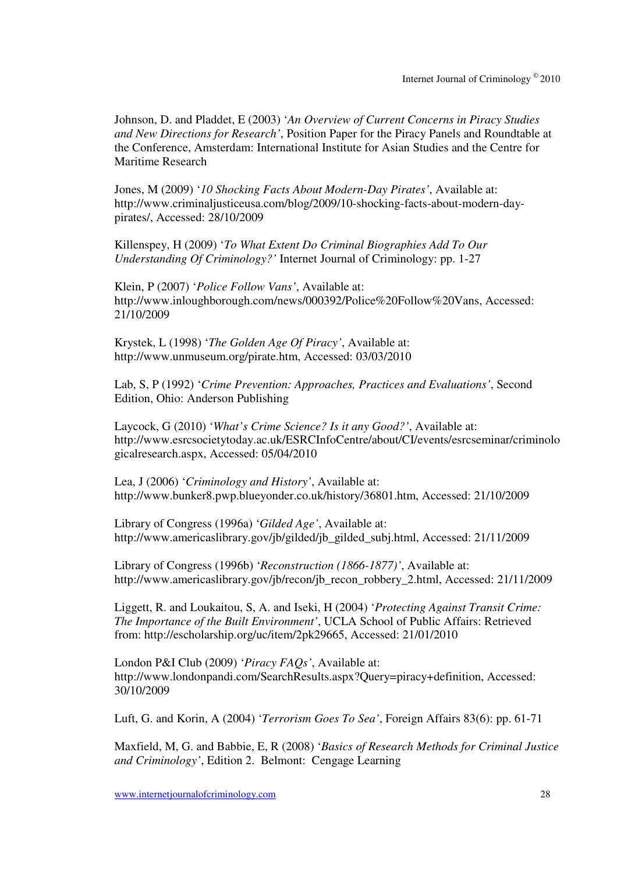Johnson, D. and Pladdet, E (2003) '*An Overview of Current Concerns in Piracy Studies and New Directions for Research'*, Position Paper for the Piracy Panels and Roundtable at the Conference, Amsterdam: International Institute for Asian Studies and the Centre for Maritime Research

Jones, M (2009) '*10 Shocking Facts About Modern-Day Pirates'*, Available at: http://www.criminaljusticeusa.com/blog/2009/10-shocking-facts-about-modern-daypirates/, Accessed: 28/10/2009

Killenspey, H (2009) '*To What Extent Do Criminal Biographies Add To Our Understanding Of Criminology?'* Internet Journal of Criminology: pp. 1-27

Klein, P (2007) '*Police Follow Vans'*, Available at: http://www.inloughborough.com/news/000392/Police%20Follow%20Vans, Accessed: 21/10/2009

Krystek, L (1998) '*The Golden Age Of Piracy'*, Available at: http://www.unmuseum.org/pirate.htm, Accessed: 03/03/2010

Lab, S, P (1992) '*Crime Prevention: Approaches, Practices and Evaluations'*, Second Edition, Ohio: Anderson Publishing

Laycock, G (2010) '*What's Crime Science? Is it any Good?'*, Available at: http://www.esrcsocietytoday.ac.uk/ESRCInfoCentre/about/CI/events/esrcseminar/criminolo gicalresearch.aspx, Accessed: 05/04/2010

Lea, J (2006) '*Criminology and History'*, Available at: http://www.bunker8.pwp.blueyonder.co.uk/history/36801.htm, Accessed: 21/10/2009

Library of Congress (1996a) '*Gilded Age'*, Available at: http://www.americaslibrary.gov/jb/gilded/jb\_gilded\_subj.html, Accessed: 21/11/2009

Library of Congress (1996b) '*Reconstruction (1866-1877)'*, Available at: http://www.americaslibrary.gov/jb/recon/jb\_recon\_robbery\_2.html, Accessed: 21/11/2009

Liggett, R. and Loukaitou, S, A. and Iseki, H (2004) '*Protecting Against Transit Crime: The Importance of the Built Environment'*, UCLA School of Public Affairs: Retrieved from: http://escholarship.org/uc/item/2pk29665, Accessed: 21/01/2010

London P&I Club (2009) '*Piracy FAQs'*, Available at: http://www.londonpandi.com/SearchResults.aspx?Query=piracy+definition, Accessed: 30/10/2009

Luft, G. and Korin, A (2004) '*Terrorism Goes To Sea'*, Foreign Affairs 83(6): pp. 61-71

Maxfield, M, G. and Babbie, E, R (2008) '*Basics of Research Methods for Criminal Justice and Criminology'*, Edition 2. Belmont: Cengage Learning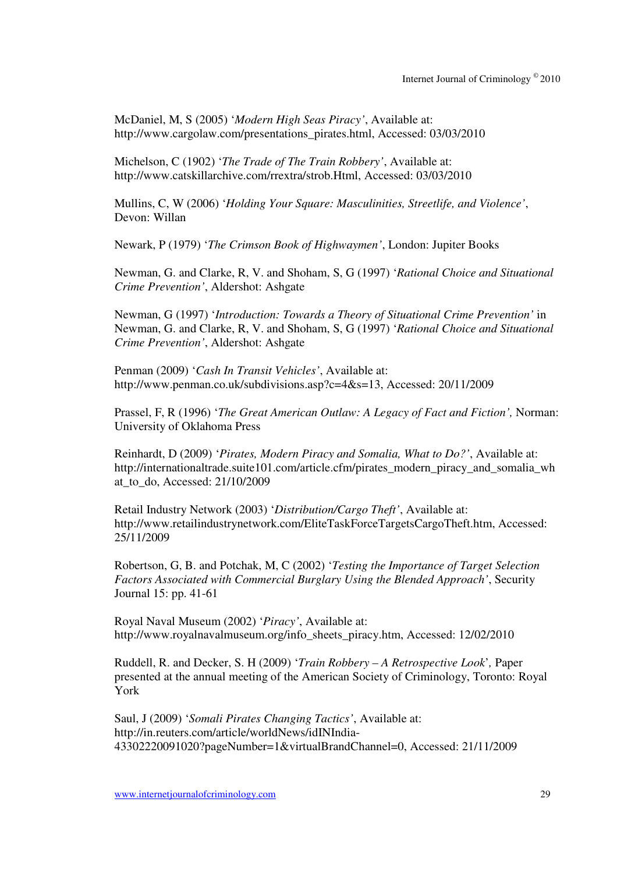McDaniel, M, S (2005) '*Modern High Seas Piracy'*, Available at: http://www.cargolaw.com/presentations\_pirates.html, Accessed: 03/03/2010

Michelson, C (1902) '*The Trade of The Train Robbery'*, Available at: http://www.catskillarchive.com/rrextra/strob.Html, Accessed: 03/03/2010

Mullins, C, W (2006) '*Holding Your Square: Masculinities, Streetlife, and Violence'*, Devon: Willan

Newark, P (1979) '*The Crimson Book of Highwaymen'*, London: Jupiter Books

Newman, G. and Clarke, R, V. and Shoham, S, G (1997) '*Rational Choice and Situational Crime Prevention'*, Aldershot: Ashgate

Newman, G (1997) '*Introduction: Towards a Theory of Situational Crime Prevention'* in Newman, G. and Clarke, R, V. and Shoham, S, G (1997) '*Rational Choice and Situational Crime Prevention'*, Aldershot: Ashgate

Penman (2009) '*Cash In Transit Vehicles'*, Available at: http://www.penman.co.uk/subdivisions.asp?c=4&s=13, Accessed: 20/11/2009

Prassel, F, R (1996) '*The Great American Outlaw: A Legacy of Fact and Fiction',* Norman: University of Oklahoma Press

Reinhardt, D (2009) '*Pirates, Modern Piracy and Somalia, What to Do?'*, Available at: http://internationaltrade.suite101.com/article.cfm/pirates\_modern\_piracy\_and\_somalia\_wh at\_to\_do, Accessed: 21/10/2009

Retail Industry Network (2003) '*Distribution/Cargo Theft'*, Available at: http://www.retailindustrynetwork.com/EliteTaskForceTargetsCargoTheft.htm, Accessed: 25/11/2009

Robertson, G, B. and Potchak, M, C (2002) '*Testing the Importance of Target Selection Factors Associated with Commercial Burglary Using the Blended Approach'*, Security Journal 15: pp. 41-61

Royal Naval Museum (2002) '*Piracy'*, Available at: http://www.royalnavalmuseum.org/info\_sheets\_piracy.htm, Accessed: 12/02/2010

Ruddell, R. and Decker, S. H (2009) '*Train Robbery – A Retrospective Look*'*,* Paper presented at the annual meeting of the American Society of Criminology, Toronto: Royal York

Saul, J (2009) '*Somali Pirates Changing Tactics'*, Available at: http://in.reuters.com/article/worldNews/idINIndia-43302220091020?pageNumber=1&virtualBrandChannel=0, Accessed: 21/11/2009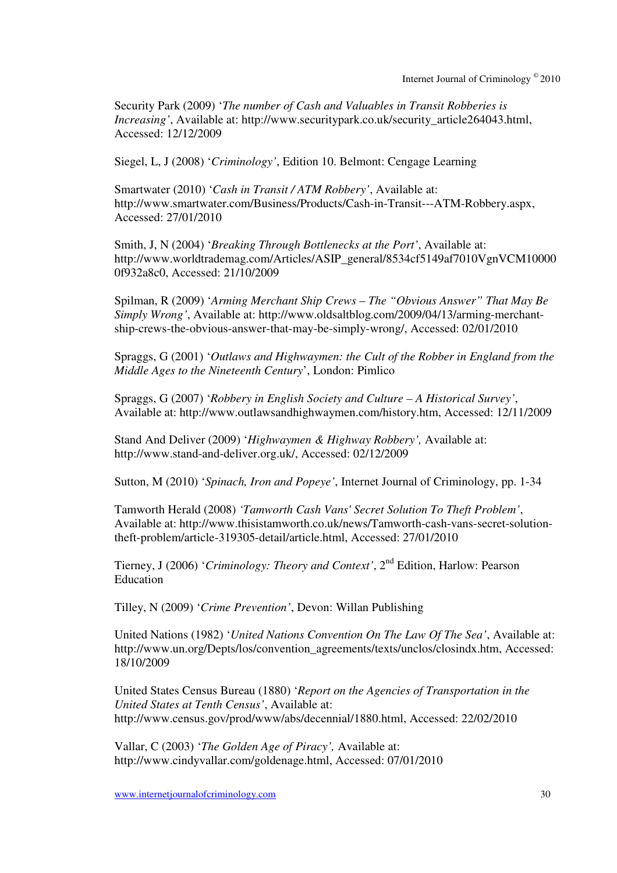Security Park (2009) '*The number of Cash and Valuables in Transit Robberies is Increasing'*, Available at: http://www.securitypark.co.uk/security\_article264043.html, Accessed: 12/12/2009

Siegel, L, J (2008) '*Criminology'*, Edition 10. Belmont: Cengage Learning

Smartwater (2010) '*Cash in Transit / ATM Robbery'*, Available at: http://www.smartwater.com/Business/Products/Cash-in-Transit---ATM-Robbery.aspx, Accessed: 27/01/2010

Smith, J, N (2004) '*Breaking Through Bottlenecks at the Port'*, Available at: http://www.worldtrademag.com/Articles/ASIP\_general/8534cf5149af7010VgnVCM10000 0f932a8c0, Accessed: 21/10/2009

Spilman, R (2009) '*Arming Merchant Ship Crews – The "Obvious Answer" That May Be Simply Wrong'*, Available at: http://www.oldsaltblog.com/2009/04/13/arming-merchantship-crews-the-obvious-answer-that-may-be-simply-wrong/, Accessed: 02/01/2010

Spraggs, G (2001) '*Outlaws and Highwaymen: the Cult of the Robber in England from the Middle Ages to the Nineteenth Century*', London: Pimlico

Spraggs, G (2007) '*Robbery in English Society and Culture – A Historical Survey'*, Available at: http://www.outlawsandhighwaymen.com/history.htm, Accessed: 12/11/2009

Stand And Deliver (2009) '*Highwaymen & Highway Robbery',* Available at: http://www.stand-and-deliver.org.uk/, Accessed: 02/12/2009

Sutton, M (2010) '*Spinach, Iron and Popeye'*, Internet Journal of Criminology, pp. 1-34

Tamworth Herald (2008) *'Tamworth Cash Vans' Secret Solution To Theft Problem'*, Available at: http://www.thisistamworth.co.uk/news/Tamworth-cash-vans-secret-solutiontheft-problem/article-319305-detail/article.html, Accessed: 27/01/2010

Tierney, J (2006) '*Criminology: Theory and Context'*, 2nd Edition, Harlow: Pearson Education

Tilley, N (2009) '*Crime Prevention'*, Devon: Willan Publishing

United Nations (1982) '*United Nations Convention On The Law Of The Sea'*, Available at: http://www.un.org/Depts/los/convention\_agreements/texts/unclos/closindx.htm, Accessed: 18/10/2009

United States Census Bureau (1880) '*Report on the Agencies of Transportation in the United States at Tenth Census'*, Available at: http://www.census.gov/prod/www/abs/decennial/1880.html, Accessed: 22/02/2010

Vallar, C (2003) '*The Golden Age of Piracy',* Available at: http://www.cindyvallar.com/goldenage.html, Accessed: 07/01/2010